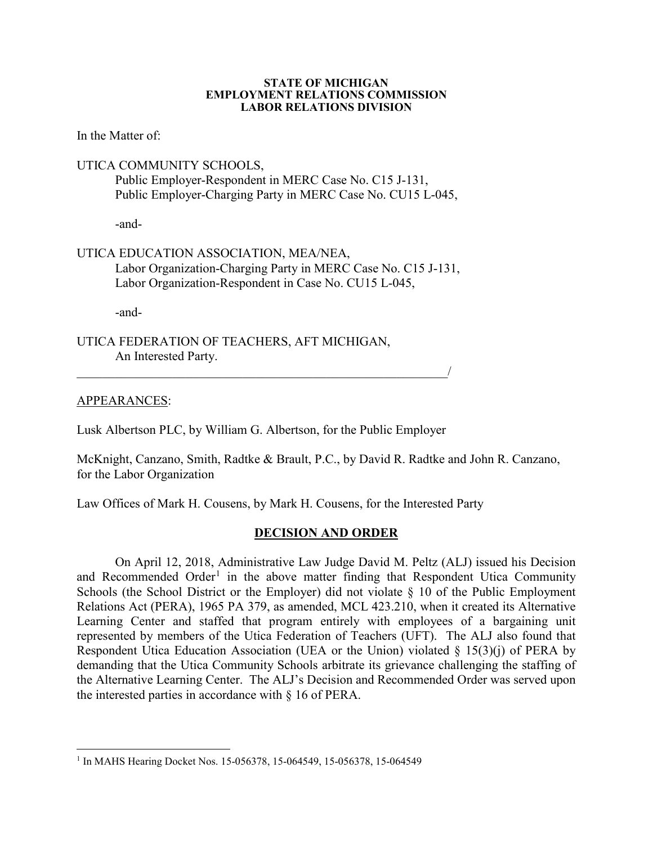#### **STATE OF MICHIGAN EMPLOYMENT RELATIONS COMMISSION LABOR RELATIONS DIVISION**

In the Matter of:

## UTICA COMMUNITY SCHOOLS,

Public Employer-Respondent in MERC Case No. C15 J-131, Public Employer-Charging Party in MERC Case No. CU15 L-045,

-and-

# UTICA EDUCATION ASSOCIATION, MEA/NEA,

Labor Organization-Charging Party in MERC Case No. C15 J-131, Labor Organization-Respondent in Case No. CU15 L-045,

-and-

UTICA FEDERATION OF TEACHERS, AFT MICHIGAN, An Interested Party.

## APPEARANCES:

Lusk Albertson PLC, by William G. Albertson, for the Public Employer

 $\overline{\phantom{a}}$  , and the contract of the contract of the contract of the contract of the contract of the contract of the contract of the contract of the contract of the contract of the contract of the contract of the contrac

McKnight, Canzano, Smith, Radtke & Brault, P.C., by David R. Radtke and John R. Canzano, for the Labor Organization

Law Offices of Mark H. Cousens, by Mark H. Cousens, for the Interested Party

## **DECISION AND ORDER**

On April 12, 2018, Administrative Law Judge David M. Peltz (ALJ) issued his Decision and Recommended Order<sup>[1](#page-0-0)</sup> in the above matter finding that Respondent Utica Community Schools (the School District or the Employer) did not violate § 10 of the Public Employment Relations Act (PERA), 1965 PA 379, as amended, MCL 423.210, when it created its Alternative Learning Center and staffed that program entirely with employees of a bargaining unit represented by members of the Utica Federation of Teachers (UFT). The ALJ also found that Respondent Utica Education Association (UEA or the Union) violated § 15(3)(j) of PERA by demanding that the Utica Community Schools arbitrate its grievance challenging the staffing of the Alternative Learning Center. The ALJ's Decision and Recommended Order was served upon the interested parties in accordance with § 16 of PERA.

<span id="page-0-0"></span><sup>&</sup>lt;sup>1</sup> In MAHS Hearing Docket Nos. 15-056378, 15-064549, 15-056378, 15-064549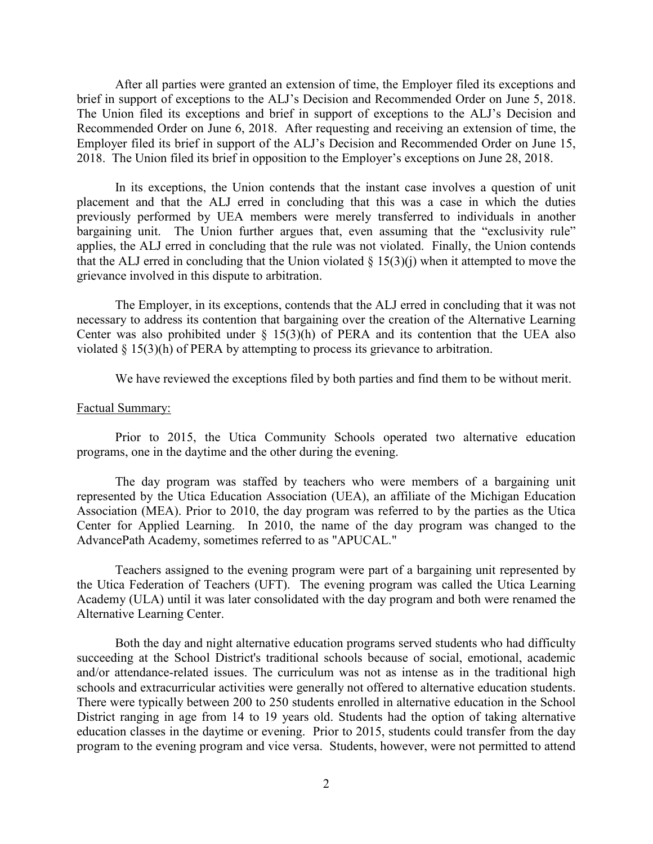After all parties were granted an extension of time, the Employer filed its exceptions and brief in support of exceptions to the ALJ's Decision and Recommended Order on June 5, 2018. The Union filed its exceptions and brief in support of exceptions to the ALJ's Decision and Recommended Order on June 6, 2018. After requesting and receiving an extension of time, the Employer filed its brief in support of the ALJ's Decision and Recommended Order on June 15, 2018. The Union filed its brief in opposition to the Employer's exceptions on June 28, 2018.

In its exceptions, the Union contends that the instant case involves a question of unit placement and that the ALJ erred in concluding that this was a case in which the duties previously performed by UEA members were merely transferred to individuals in another bargaining unit. The Union further argues that, even assuming that the "exclusivity rule" applies, the ALJ erred in concluding that the rule was not violated. Finally, the Union contends that the ALJ erred in concluding that the Union violated  $\S$  15(3)(j) when it attempted to move the grievance involved in this dispute to arbitration.

The Employer, in its exceptions, contends that the ALJ erred in concluding that it was not necessary to address its contention that bargaining over the creation of the Alternative Learning Center was also prohibited under  $\S$  15(3)(h) of PERA and its contention that the UEA also violated § 15(3)(h) of PERA by attempting to process its grievance to arbitration.

We have reviewed the exceptions filed by both parties and find them to be without merit.

#### Factual Summary:

Prior to 2015, the Utica Community Schools operated two alternative education programs, one in the daytime and the other during the evening.

The day program was staffed by teachers who were members of a bargaining unit represented by the Utica Education Association (UEA), an affiliate of the Michigan Education Association (MEA). Prior to 2010, the day program was referred to by the parties as the Utica Center for Applied Learning. In 2010, the name of the day program was changed to the AdvancePath Academy, sometimes referred to as "APUCAL."

Teachers assigned to the evening program were part of a bargaining unit represented by the Utica Federation of Teachers (UFT). The evening program was called the Utica Learning Academy (ULA) until it was later consolidated with the day program and both were renamed the Alternative Learning Center.

Both the day and night alternative education programs served students who had difficulty succeeding at the School District's traditional schools because of social, emotional, academic and/or attendance-related issues. The curriculum was not as intense as in the traditional high schools and extracurricular activities were generally not offered to alternative education students. There were typically between 200 to 250 students enrolled in alternative education in the School District ranging in age from 14 to 19 years old. Students had the option of taking alternative education classes in the daytime or evening. Prior to 2015, students could transfer from the day program to the evening program and vice versa. Students, however, were not permitted to attend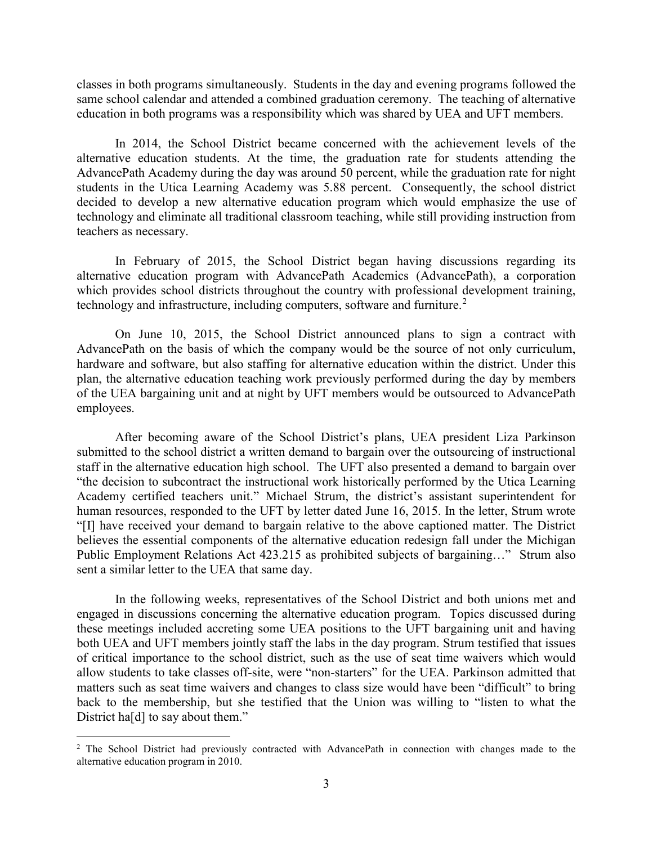classes in both programs simultaneously. Students in the day and evening programs followed the same school calendar and attended a combined graduation ceremony. The teaching of alternative education in both programs was a responsibility which was shared by UEA and UFT members.

In 2014, the School District became concerned with the achievement levels of the alternative education students. At the time, the graduation rate for students attending the AdvancePath Academy during the day was around 50 percent, while the graduation rate for night students in the Utica Learning Academy was 5.88 percent. Consequently, the school district decided to develop a new alternative education program which would emphasize the use of technology and eliminate all traditional classroom teaching, while still providing instruction from teachers as necessary.

In February of 2015, the School District began having discussions regarding its alternative education program with AdvancePath Academics (AdvancePath), a corporation which provides school districts throughout the country with professional development training, technology and infrastructure, including computers, software and furniture.<sup>[2](#page-2-0)</sup>

On June 10, 2015, the School District announced plans to sign a contract with AdvancePath on the basis of which the company would be the source of not only curriculum, hardware and software, but also staffing for alternative education within the district. Under this plan, the alternative education teaching work previously performed during the day by members of the UEA bargaining unit and at night by UFT members would be outsourced to AdvancePath employees.

After becoming aware of the School District's plans, UEA president Liza Parkinson submitted to the school district a written demand to bargain over the outsourcing of instructional staff in the alternative education high school. The UFT also presented a demand to bargain over "the decision to subcontract the instructional work historically performed by the Utica Learning Academy certified teachers unit." Michael Strum, the district's assistant superintendent for human resources, responded to the UFT by letter dated June 16, 2015. In the letter, Strum wrote "[I] have received your demand to bargain relative to the above captioned matter. The District believes the essential components of the alternative education redesign fall under the Michigan Public Employment Relations Act 423.215 as prohibited subjects of bargaining…" Strum also sent a similar letter to the UEA that same day.

In the following weeks, representatives of the School District and both unions met and engaged in discussions concerning the alternative education program. Topics discussed during these meetings included accreting some UEA positions to the UFT bargaining unit and having both UEA and UFT members jointly staff the labs in the day program. Strum testified that issues of critical importance to the school district, such as the use of seat time waivers which would allow students to take classes off-site, were "non-starters" for the UEA. Parkinson admitted that matters such as seat time waivers and changes to class size would have been "difficult" to bring back to the membership, but she testified that the Union was willing to "listen to what the District ha[d] to say about them."

<span id="page-2-0"></span><sup>&</sup>lt;sup>2</sup> The School District had previously contracted with AdvancePath in connection with changes made to the alternative education program in 2010.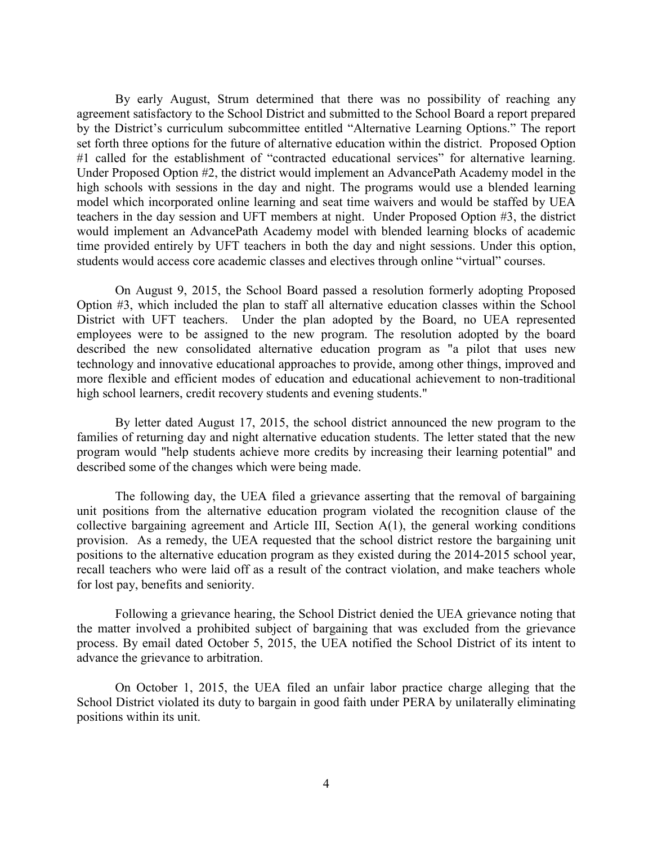By early August, Strum determined that there was no possibility of reaching any agreement satisfactory to the School District and submitted to the School Board a report prepared by the District's curriculum subcommittee entitled "Alternative Learning Options." The report set forth three options for the future of alternative education within the district. Proposed Option #1 called for the establishment of "contracted educational services" for alternative learning. Under Proposed Option #2, the district would implement an AdvancePath Academy model in the high schools with sessions in the day and night. The programs would use a blended learning model which incorporated online learning and seat time waivers and would be staffed by UEA teachers in the day session and UFT members at night. Under Proposed Option #3, the district would implement an AdvancePath Academy model with blended learning blocks of academic time provided entirely by UFT teachers in both the day and night sessions. Under this option, students would access core academic classes and electives through online "virtual" courses.

On August 9, 2015, the School Board passed a resolution formerly adopting Proposed Option #3, which included the plan to staff all alternative education classes within the School District with UFT teachers. Under the plan adopted by the Board, no UEA represented employees were to be assigned to the new program. The resolution adopted by the board described the new consolidated alternative education program as "a pilot that uses new technology and innovative educational approaches to provide, among other things, improved and more flexible and efficient modes of education and educational achievement to non-traditional high school learners, credit recovery students and evening students."

By letter dated August 17, 2015, the school district announced the new program to the families of returning day and night alternative education students. The letter stated that the new program would "help students achieve more credits by increasing their learning potential" and described some of the changes which were being made.

The following day, the UEA filed a grievance asserting that the removal of bargaining unit positions from the alternative education program violated the recognition clause of the collective bargaining agreement and Article III, Section A(1), the general working conditions provision. As a remedy, the UEA requested that the school district restore the bargaining unit positions to the alternative education program as they existed during the 2014-2015 school year, recall teachers who were laid off as a result of the contract violation, and make teachers whole for lost pay, benefits and seniority.

Following a grievance hearing, the School District denied the UEA grievance noting that the matter involved a prohibited subject of bargaining that was excluded from the grievance process. By email dated October 5, 2015, the UEA notified the School District of its intent to advance the grievance to arbitration.

On October 1, 2015, the UEA filed an unfair labor practice charge alleging that the School District violated its duty to bargain in good faith under PERA by unilaterally eliminating positions within its unit.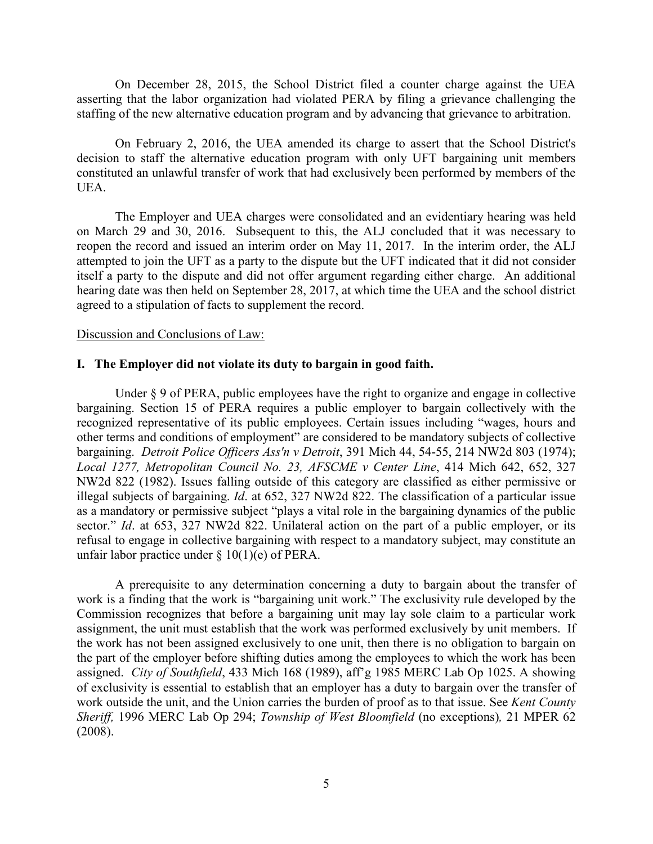On December 28, 2015, the School District filed a counter charge against the UEA asserting that the labor organization had violated PERA by filing a grievance challenging the staffing of the new alternative education program and by advancing that grievance to arbitration.

On February 2, 2016, the UEA amended its charge to assert that the School District's decision to staff the alternative education program with only UFT bargaining unit members constituted an unlawful transfer of work that had exclusively been performed by members of the UEA.

The Employer and UEA charges were consolidated and an evidentiary hearing was held on March 29 and 30, 2016. Subsequent to this, the ALJ concluded that it was necessary to reopen the record and issued an interim order on May 11, 2017. In the interim order, the ALJ attempted to join the UFT as a party to the dispute but the UFT indicated that it did not consider itself a party to the dispute and did not offer argument regarding either charge. An additional hearing date was then held on September 28, 2017, at which time the UEA and the school district agreed to a stipulation of facts to supplement the record.

## Discussion and Conclusions of Law:

#### **I. The Employer did not violate its duty to bargain in good faith.**

Under  $\S 9$  of PERA, public employees have the right to organize and engage in collective bargaining. Section 15 of PERA requires a public employer to bargain collectively with the recognized representative of its public employees. Certain issues including "wages, hours and other terms and conditions of employment" are considered to be mandatory subjects of collective bargaining. *Detroit Police Officers Ass'n v Detroit*, 391 Mich 44, 54-55, 214 NW2d 803 (1974); *Local 1277, Metropolitan Council No. 23, AFSCME v Center Line*, 414 Mich 642, 652, 327 NW2d 822 (1982). Issues falling outside of this category are classified as either permissive or illegal subjects of bargaining. *Id*. at 652, 327 NW2d 822. The classification of a particular issue as a mandatory or permissive subject "plays a vital role in the bargaining dynamics of the public sector." *Id*. at 653, 327 NW2d 822. Unilateral action on the part of a public employer, or its refusal to engage in collective bargaining with respect to a mandatory subject, may constitute an unfair labor practice under § 10(1)(e) of PERA.

A prerequisite to any determination concerning a duty to bargain about the transfer of work is a finding that the work is "bargaining unit work." The exclusivity rule developed by the Commission recognizes that before a bargaining unit may lay sole claim to a particular work assignment, the unit must establish that the work was performed exclusively by unit members. If the work has not been assigned exclusively to one unit, then there is no obligation to bargain on the part of the employer before shifting duties among the employees to which the work has been assigned. *City of Southfield*, 433 Mich 168 (1989), aff'g 1985 MERC Lab Op 1025. A showing of exclusivity is essential to establish that an employer has a duty to bargain over the transfer of work outside the unit, and the Union carries the burden of proof as to that issue. See *Kent County Sheriff,* 1996 MERC Lab Op 294; *Township of West Bloomfield* (no exceptions)*,* 21 MPER 62 (2008).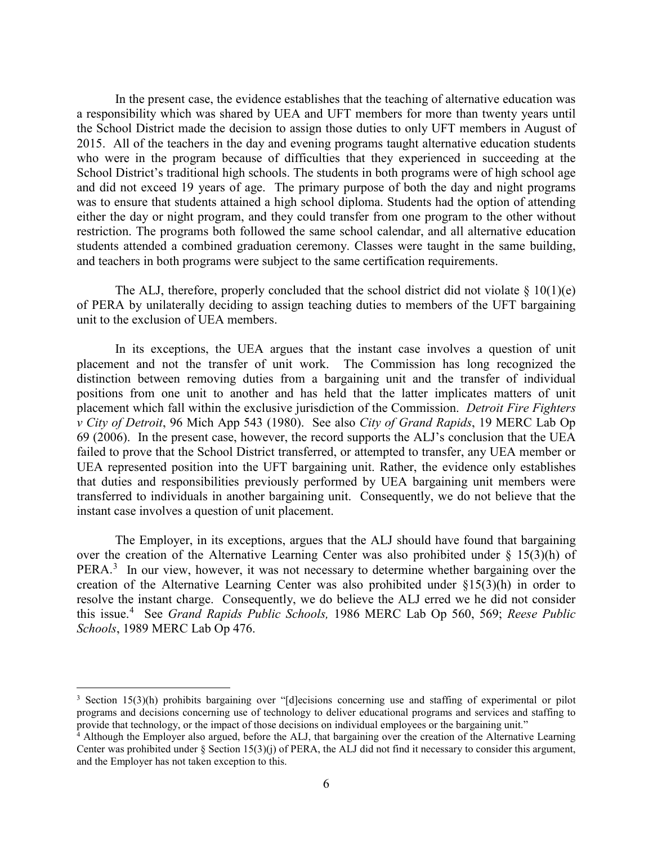In the present case, the evidence establishes that the teaching of alternative education was a responsibility which was shared by UEA and UFT members for more than twenty years until the School District made the decision to assign those duties to only UFT members in August of 2015. All of the teachers in the day and evening programs taught alternative education students who were in the program because of difficulties that they experienced in succeeding at the School District's traditional high schools. The students in both programs were of high school age and did not exceed 19 years of age. The primary purpose of both the day and night programs was to ensure that students attained a high school diploma. Students had the option of attending either the day or night program, and they could transfer from one program to the other without restriction. The programs both followed the same school calendar, and all alternative education students attended a combined graduation ceremony. Classes were taught in the same building, and teachers in both programs were subject to the same certification requirements.

The ALJ, therefore, properly concluded that the school district did not violate  $\S 10(1)(e)$ of PERA by unilaterally deciding to assign teaching duties to members of the UFT bargaining unit to the exclusion of UEA members.

In its exceptions, the UEA argues that the instant case involves a question of unit placement and not the transfer of unit work. The Commission has long recognized the distinction between removing duties from a bargaining unit and the transfer of individual positions from one unit to another and has held that the latter implicates matters of unit placement which fall within the exclusive jurisdiction of the Commission. *Detroit Fire Fighters v City of Detroit*, 96 Mich App 543 (1980). See also *City of Grand Rapids*, 19 MERC Lab Op 69 (2006). In the present case, however, the record supports the ALJ's conclusion that the UEA failed to prove that the School District transferred, or attempted to transfer, any UEA member or UEA represented position into the UFT bargaining unit. Rather, the evidence only establishes that duties and responsibilities previously performed by UEA bargaining unit members were transferred to individuals in another bargaining unit. Consequently, we do not believe that the instant case involves a question of unit placement.

The Employer, in its exceptions, argues that the ALJ should have found that bargaining over the creation of the Alternative Learning Center was also prohibited under § 15(3)(h) of PERA.<sup>[3](#page-5-0)</sup> In our view, however, it was not necessary to determine whether bargaining over the creation of the Alternative Learning Center was also prohibited under §15(3)(h) in order to resolve the instant charge. Consequently, we do believe the ALJ erred we he did not consider this issue.[4](#page-5-1) See *Grand Rapids Public Schools,* 1986 MERC Lab Op 560, 569; *Reese Public Schools*, 1989 MERC Lab Op 476.

<span id="page-5-0"></span> <sup>3</sup> Section 15(3)(h) prohibits bargaining over "[d]ecisions concerning use and staffing of experimental or pilot programs and decisions concerning use of technology to deliver educational programs and services and staffing to provide that technology, or the impact of those decisions on individual employees or the bargaining unit."

<span id="page-5-1"></span><sup>&</sup>lt;sup>4</sup> Although the Employer also argued, before the ALJ, that bargaining over the creation of the Alternative Learning Center was prohibited under § Section  $15(3)(j)$  of PERA, the ALJ did not find it necessary to consider this argument, and the Employer has not taken exception to this.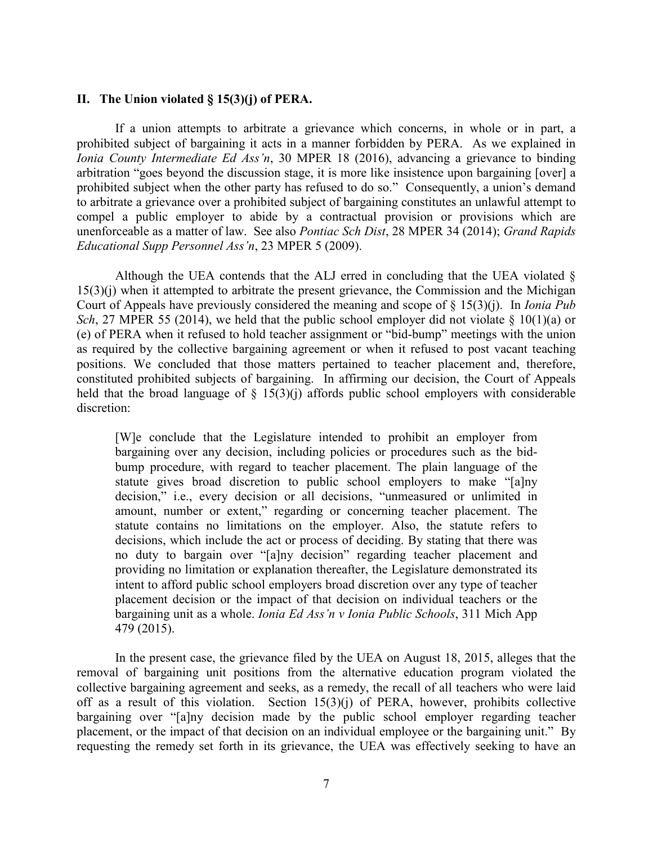## **II. The Union violated § 15(3)(j) of PERA.**

If a union attempts to arbitrate a grievance which concerns, in whole or in part, a prohibited subject of bargaining it acts in a manner forbidden by PERA. As we explained in *Ionia County Intermediate Ed Ass'n*, 30 MPER 18 (2016), advancing a grievance to binding arbitration "goes beyond the discussion stage, it is more like insistence upon bargaining [over] a prohibited subject when the other party has refused to do so." Consequently, a union's demand to arbitrate a grievance over a prohibited subject of bargaining constitutes an unlawful attempt to compel a public employer to abide by a contractual provision or provisions which are unenforceable as a matter of law. See also *Pontiac Sch Dist*, 28 MPER 34 (2014); *Grand Rapids Educational Supp Personnel Ass'n*, 23 MPER 5 (2009).

Although the UEA contends that the ALJ erred in concluding that the UEA violated § 15(3)(j) when it attempted to arbitrate the present grievance, the Commission and the Michigan Court of Appeals have previously considered the meaning and scope of § 15(3)(j). In *Ionia Pub Sch*, 27 MPER 55 (2014), we held that the public school employer did not violate § 10(1)(a) or (e) of PERA when it refused to hold teacher assignment or "bid-bump" meetings with the union as required by the collective bargaining agreement or when it refused to post vacant teaching positions. We concluded that those matters pertained to teacher placement and, therefore, constituted prohibited subjects of bargaining. In affirming our decision, the Court of Appeals held that the broad language of  $\S$  15(3)(j) affords public school employers with considerable discretion:

[W]e conclude that the Legislature intended to prohibit an employer from bargaining over any decision, including policies or procedures such as the bidbump procedure, with regard to teacher placement. The plain language of the statute gives broad discretion to public school employers to make "[a]ny decision," i.e., every decision or all decisions, "unmeasured or unlimited in amount, number or extent," regarding or concerning teacher placement. The statute contains no limitations on the employer. Also, the statute refers to decisions, which include the act or process of deciding. By stating that there was no duty to bargain over "[a]ny decision" regarding teacher placement and providing no limitation or explanation thereafter, the Legislature demonstrated its intent to afford public school employers broad discretion over any type of teacher placement decision or the impact of that decision on individual teachers or the bargaining unit as a whole. *Ionia Ed Ass'n v Ionia Public Schools*, 311 Mich App 479 (2015).

In the present case, the grievance filed by the UEA on August 18, 2015, alleges that the removal of bargaining unit positions from the alternative education program violated the collective bargaining agreement and seeks, as a remedy, the recall of all teachers who were laid off as a result of this violation. Section 15(3)(j) of PERA, however, prohibits collective bargaining over "[a]ny decision made by the public school employer regarding teacher placement, or the impact of that decision on an individual employee or the bargaining unit." By requesting the remedy set forth in its grievance, the UEA was effectively seeking to have an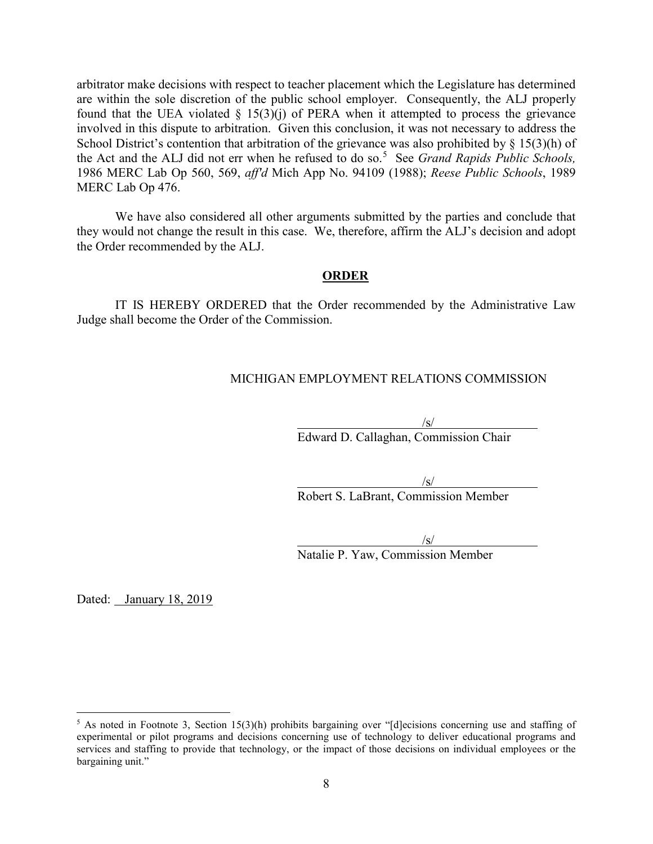arbitrator make decisions with respect to teacher placement which the Legislature has determined are within the sole discretion of the public school employer. Consequently, the ALJ properly found that the UEA violated  $\S$  15(3)(j) of PERA when it attempted to process the grievance involved in this dispute to arbitration. Given this conclusion, it was not necessary to address the School District's contention that arbitration of the grievance was also prohibited by § 15(3)(h) of the Act and the ALJ did not err when he refused to do so. [5](#page-7-0) See *Grand Rapids Public Schools,* 1986 MERC Lab Op 560, 569, *aff'd* Mich App No. 94109 (1988); *Reese Public Schools*, 1989 MERC Lab Op 476.

We have also considered all other arguments submitted by the parties and conclude that they would not change the result in this case. We, therefore, affirm the ALJ's decision and adopt the Order recommended by the ALJ.

## **ORDER**

IT IS HEREBY ORDERED that the Order recommended by the Administrative Law Judge shall become the Order of the Commission.

## MICHIGAN EMPLOYMENT RELATIONS COMMISSION

 $\sqrt{s/}$ Edward D. Callaghan, Commission Chair

 $\sqrt{s/}$ 

Robert S. LaBrant, Commission Member

 $\sqrt{s/}$ 

Natalie P. Yaw, Commission Member

Dated: January 18, 2019

<span id="page-7-0"></span><sup>&</sup>lt;sup>5</sup> As noted in Footnote 3, Section 15(3)(h) prohibits bargaining over "[d]ecisions concerning use and staffing of experimental or pilot programs and decisions concerning use of technology to deliver educational programs and services and staffing to provide that technology, or the impact of those decisions on individual employees or the bargaining unit."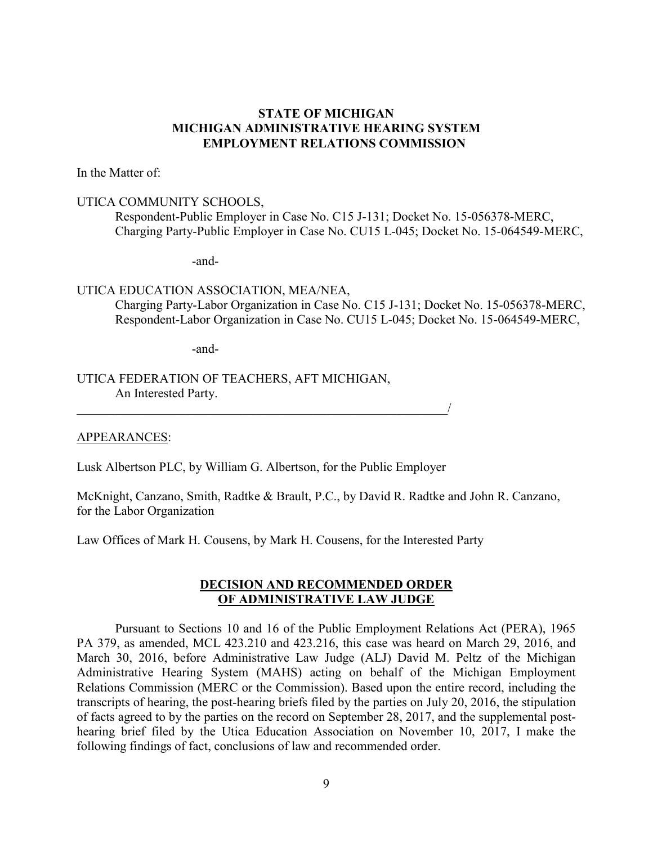## **STATE OF MICHIGAN MICHIGAN ADMINISTRATIVE HEARING SYSTEM EMPLOYMENT RELATIONS COMMISSION**

In the Matter of:

## UTICA COMMUNITY SCHOOLS,

Respondent-Public Employer in Case No. C15 J-131; Docket No. 15-056378-MERC, Charging Party-Public Employer in Case No. CU15 L-045; Docket No. 15-064549-MERC,

-and-

# UTICA EDUCATION ASSOCIATION, MEA/NEA,

Charging Party-Labor Organization in Case No. C15 J-131; Docket No. 15-056378-MERC, Respondent-Labor Organization in Case No. CU15 L-045; Docket No. 15-064549-MERC,

-and-

## UTICA FEDERATION OF TEACHERS, AFT MICHIGAN, An Interested Party.

## APPEARANCES:

Lusk Albertson PLC, by William G. Albertson, for the Public Employer

 $\overline{\phantom{a}}$ 

McKnight, Canzano, Smith, Radtke & Brault, P.C., by David R. Radtke and John R. Canzano, for the Labor Organization

Law Offices of Mark H. Cousens, by Mark H. Cousens, for the Interested Party

## **DECISION AND RECOMMENDED ORDER OF ADMINISTRATIVE LAW JUDGE**

Pursuant to Sections 10 and 16 of the Public Employment Relations Act (PERA), 1965 PA 379, as amended, MCL 423.210 and 423.216, this case was heard on March 29, 2016, and March 30, 2016, before Administrative Law Judge (ALJ) David M. Peltz of the Michigan Administrative Hearing System (MAHS) acting on behalf of the Michigan Employment Relations Commission (MERC or the Commission). Based upon the entire record, including the transcripts of hearing, the post-hearing briefs filed by the parties on July 20, 2016, the stipulation of facts agreed to by the parties on the record on September 28, 2017, and the supplemental posthearing brief filed by the Utica Education Association on November 10, 2017, I make the following findings of fact, conclusions of law and recommended order.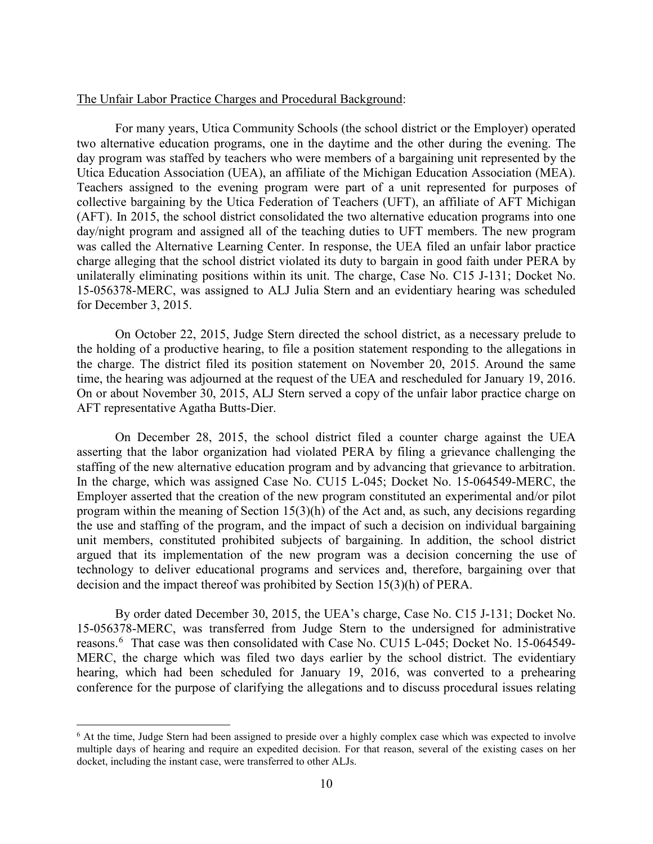#### The Unfair Labor Practice Charges and Procedural Background:

For many years, Utica Community Schools (the school district or the Employer) operated two alternative education programs, one in the daytime and the other during the evening. The day program was staffed by teachers who were members of a bargaining unit represented by the Utica Education Association (UEA), an affiliate of the Michigan Education Association (MEA). Teachers assigned to the evening program were part of a unit represented for purposes of collective bargaining by the Utica Federation of Teachers (UFT), an affiliate of AFT Michigan (AFT). In 2015, the school district consolidated the two alternative education programs into one day/night program and assigned all of the teaching duties to UFT members. The new program was called the Alternative Learning Center. In response, the UEA filed an unfair labor practice charge alleging that the school district violated its duty to bargain in good faith under PERA by unilaterally eliminating positions within its unit. The charge, Case No. C15 J-131; Docket No. 15-056378-MERC, was assigned to ALJ Julia Stern and an evidentiary hearing was scheduled for December 3, 2015.

On October 22, 2015, Judge Stern directed the school district, as a necessary prelude to the holding of a productive hearing, to file a position statement responding to the allegations in the charge. The district filed its position statement on November 20, 2015. Around the same time, the hearing was adjourned at the request of the UEA and rescheduled for January 19, 2016. On or about November 30, 2015, ALJ Stern served a copy of the unfair labor practice charge on AFT representative Agatha Butts-Dier.

On December 28, 2015, the school district filed a counter charge against the UEA asserting that the labor organization had violated PERA by filing a grievance challenging the staffing of the new alternative education program and by advancing that grievance to arbitration. In the charge, which was assigned Case No. CU15 L-045; Docket No. 15-064549-MERC, the Employer asserted that the creation of the new program constituted an experimental and/or pilot program within the meaning of Section 15(3)(h) of the Act and, as such, any decisions regarding the use and staffing of the program, and the impact of such a decision on individual bargaining unit members, constituted prohibited subjects of bargaining. In addition, the school district argued that its implementation of the new program was a decision concerning the use of technology to deliver educational programs and services and, therefore, bargaining over that decision and the impact thereof was prohibited by Section 15(3)(h) of PERA.

By order dated December 30, 2015, the UEA's charge, Case No. C15 J-131; Docket No. 15-056378-MERC, was transferred from Judge Stern to the undersigned for administrative reasons.<sup>[6](#page-9-0)</sup> That case was then consolidated with Case No. CU15 L-045; Docket No. 15-064549-MERC, the charge which was filed two days earlier by the school district. The evidentiary hearing, which had been scheduled for January 19, 2016, was converted to a prehearing conference for the purpose of clarifying the allegations and to discuss procedural issues relating

<span id="page-9-0"></span> $6$  At the time, Judge Stern had been assigned to preside over a highly complex case which was expected to involve multiple days of hearing and require an expedited decision. For that reason, several of the existing cases on her docket, including the instant case, were transferred to other ALJs.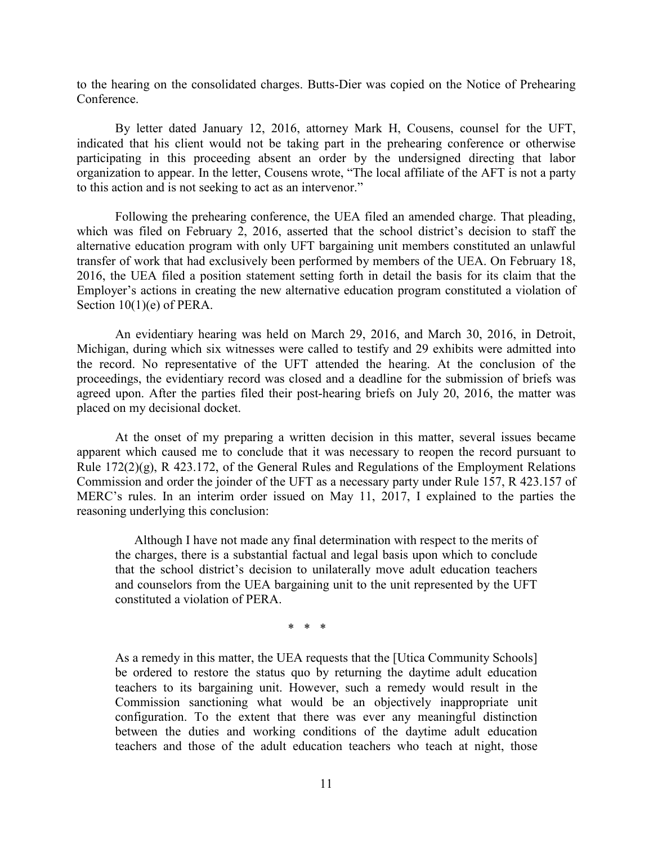to the hearing on the consolidated charges. Butts-Dier was copied on the Notice of Prehearing Conference.

By letter dated January 12, 2016, attorney Mark H, Cousens, counsel for the UFT, indicated that his client would not be taking part in the prehearing conference or otherwise participating in this proceeding absent an order by the undersigned directing that labor organization to appear. In the letter, Cousens wrote, "The local affiliate of the AFT is not a party to this action and is not seeking to act as an intervenor."

Following the prehearing conference, the UEA filed an amended charge. That pleading, which was filed on February 2, 2016, asserted that the school district's decision to staff the alternative education program with only UFT bargaining unit members constituted an unlawful transfer of work that had exclusively been performed by members of the UEA. On February 18, 2016, the UEA filed a position statement setting forth in detail the basis for its claim that the Employer's actions in creating the new alternative education program constituted a violation of Section  $10(1)(e)$  of PERA.

An evidentiary hearing was held on March 29, 2016, and March 30, 2016, in Detroit, Michigan, during which six witnesses were called to testify and 29 exhibits were admitted into the record. No representative of the UFT attended the hearing. At the conclusion of the proceedings, the evidentiary record was closed and a deadline for the submission of briefs was agreed upon. After the parties filed their post-hearing briefs on July 20, 2016, the matter was placed on my decisional docket.

At the onset of my preparing a written decision in this matter, several issues became apparent which caused me to conclude that it was necessary to reopen the record pursuant to Rule  $172(2)(g)$ , R 423.172, of the General Rules and Regulations of the Employment Relations Commission and order the joinder of the UFT as a necessary party under Rule 157, R 423.157 of MERC's rules. In an interim order issued on May 11, 2017, I explained to the parties the reasoning underlying this conclusion:

Although I have not made any final determination with respect to the merits of the charges, there is a substantial factual and legal basis upon which to conclude that the school district's decision to unilaterally move adult education teachers and counselors from the UEA bargaining unit to the unit represented by the UFT constituted a violation of PERA.

\* \* \*

As a remedy in this matter, the UEA requests that the [Utica Community Schools] be ordered to restore the status quo by returning the daytime adult education teachers to its bargaining unit. However, such a remedy would result in the Commission sanctioning what would be an objectively inappropriate unit configuration. To the extent that there was ever any meaningful distinction between the duties and working conditions of the daytime adult education teachers and those of the adult education teachers who teach at night, those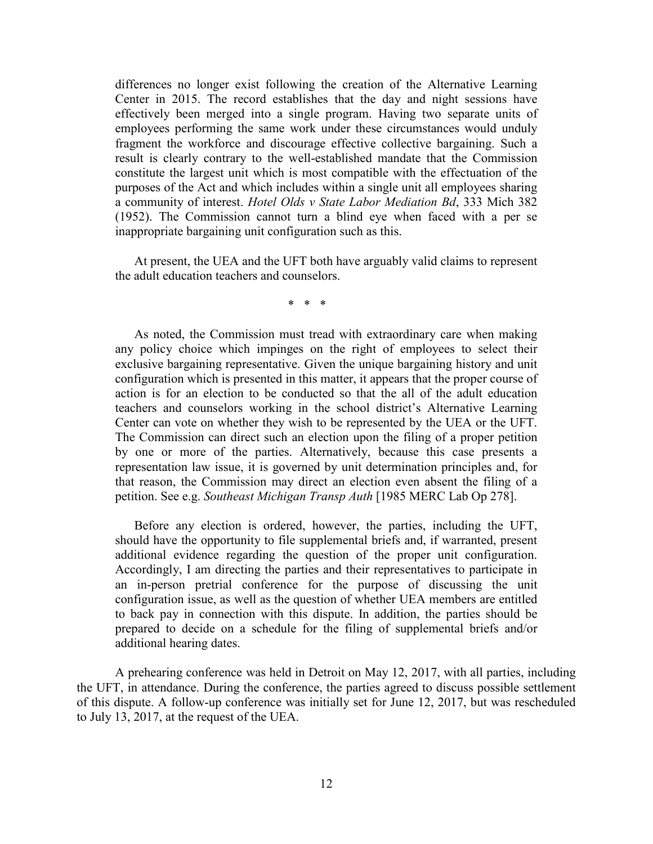differences no longer exist following the creation of the Alternative Learning Center in 2015. The record establishes that the day and night sessions have effectively been merged into a single program. Having two separate units of employees performing the same work under these circumstances would unduly fragment the workforce and discourage effective collective bargaining. Such a result is clearly contrary to the well-established mandate that the Commission constitute the largest unit which is most compatible with the effectuation of the purposes of the Act and which includes within a single unit all employees sharing a community of interest. *Hotel Olds v State Labor Mediation Bd*, 333 Mich 382 (1952). The Commission cannot turn a blind eye when faced with a per se inappropriate bargaining unit configuration such as this.

At present, the UEA and the UFT both have arguably valid claims to represent the adult education teachers and counselors.

\* \* \*

As noted, the Commission must tread with extraordinary care when making any policy choice which impinges on the right of employees to select their exclusive bargaining representative. Given the unique bargaining history and unit configuration which is presented in this matter, it appears that the proper course of action is for an election to be conducted so that the all of the adult education teachers and counselors working in the school district's Alternative Learning Center can vote on whether they wish to be represented by the UEA or the UFT. The Commission can direct such an election upon the filing of a proper petition by one or more of the parties. Alternatively, because this case presents a representation law issue, it is governed by unit determination principles and, for that reason, the Commission may direct an election even absent the filing of a petition. See e.g. *Southeast Michigan Transp Auth* [1985 MERC Lab Op 278].

Before any election is ordered, however, the parties, including the UFT, should have the opportunity to file supplemental briefs and, if warranted, present additional evidence regarding the question of the proper unit configuration. Accordingly, I am directing the parties and their representatives to participate in an in-person pretrial conference for the purpose of discussing the unit configuration issue, as well as the question of whether UEA members are entitled to back pay in connection with this dispute. In addition, the parties should be prepared to decide on a schedule for the filing of supplemental briefs and/or additional hearing dates.

A prehearing conference was held in Detroit on May 12, 2017, with all parties, including the UFT, in attendance. During the conference, the parties agreed to discuss possible settlement of this dispute. A follow-up conference was initially set for June 12, 2017, but was rescheduled to July 13, 2017, at the request of the UEA.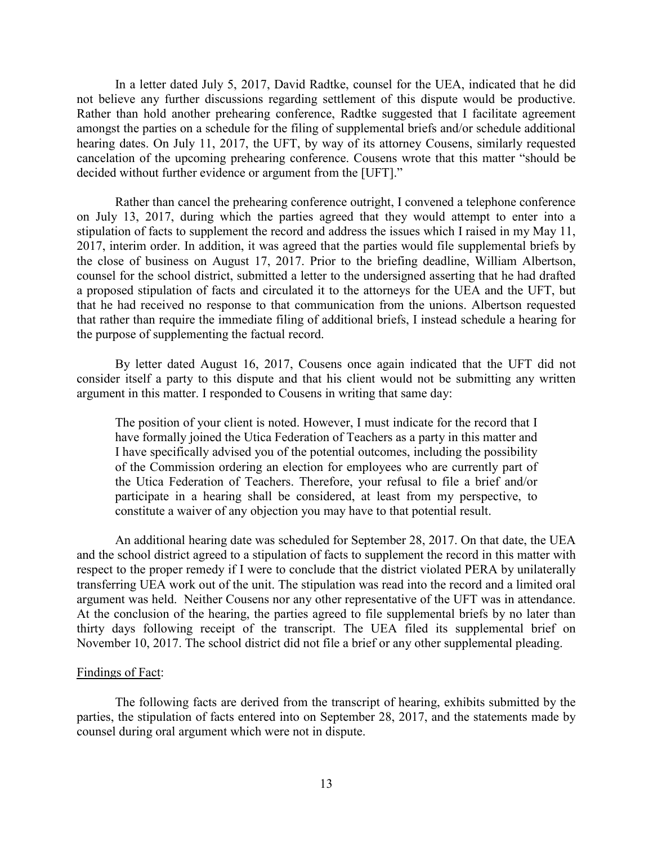In a letter dated July 5, 2017, David Radtke, counsel for the UEA, indicated that he did not believe any further discussions regarding settlement of this dispute would be productive. Rather than hold another prehearing conference, Radtke suggested that I facilitate agreement amongst the parties on a schedule for the filing of supplemental briefs and/or schedule additional hearing dates. On July 11, 2017, the UFT, by way of its attorney Cousens, similarly requested cancelation of the upcoming prehearing conference. Cousens wrote that this matter "should be decided without further evidence or argument from the [UFT]."

Rather than cancel the prehearing conference outright, I convened a telephone conference on July 13, 2017, during which the parties agreed that they would attempt to enter into a stipulation of facts to supplement the record and address the issues which I raised in my May 11, 2017, interim order. In addition, it was agreed that the parties would file supplemental briefs by the close of business on August 17, 2017. Prior to the briefing deadline, William Albertson, counsel for the school district, submitted a letter to the undersigned asserting that he had drafted a proposed stipulation of facts and circulated it to the attorneys for the UEA and the UFT, but that he had received no response to that communication from the unions. Albertson requested that rather than require the immediate filing of additional briefs, I instead schedule a hearing for the purpose of supplementing the factual record.

By letter dated August 16, 2017, Cousens once again indicated that the UFT did not consider itself a party to this dispute and that his client would not be submitting any written argument in this matter. I responded to Cousens in writing that same day:

The position of your client is noted. However, I must indicate for the record that I have formally joined the Utica Federation of Teachers as a party in this matter and I have specifically advised you of the potential outcomes, including the possibility of the Commission ordering an election for employees who are currently part of the Utica Federation of Teachers. Therefore, your refusal to file a brief and/or participate in a hearing shall be considered, at least from my perspective, to constitute a waiver of any objection you may have to that potential result.

An additional hearing date was scheduled for September 28, 2017. On that date, the UEA and the school district agreed to a stipulation of facts to supplement the record in this matter with respect to the proper remedy if I were to conclude that the district violated PERA by unilaterally transferring UEA work out of the unit. The stipulation was read into the record and a limited oral argument was held. Neither Cousens nor any other representative of the UFT was in attendance. At the conclusion of the hearing, the parties agreed to file supplemental briefs by no later than thirty days following receipt of the transcript. The UEA filed its supplemental brief on November 10, 2017. The school district did not file a brief or any other supplemental pleading.

#### Findings of Fact:

The following facts are derived from the transcript of hearing, exhibits submitted by the parties, the stipulation of facts entered into on September 28, 2017, and the statements made by counsel during oral argument which were not in dispute.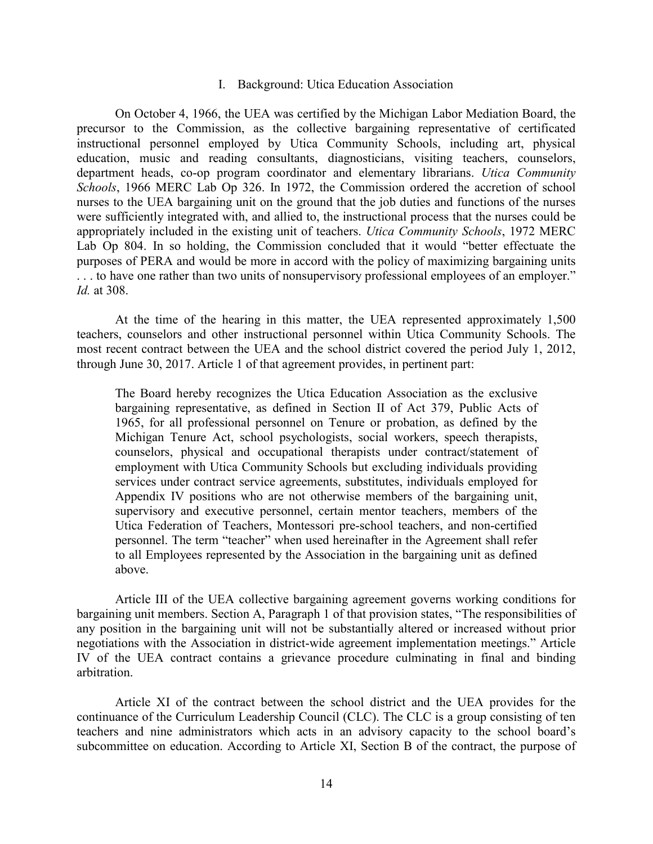#### I. Background: Utica Education Association

On October 4, 1966, the UEA was certified by the Michigan Labor Mediation Board, the precursor to the Commission, as the collective bargaining representative of certificated instructional personnel employed by Utica Community Schools, including art, physical education, music and reading consultants, diagnosticians, visiting teachers, counselors, department heads, co-op program coordinator and elementary librarians. *Utica Community Schools*, 1966 MERC Lab Op 326. In 1972, the Commission ordered the accretion of school nurses to the UEA bargaining unit on the ground that the job duties and functions of the nurses were sufficiently integrated with, and allied to, the instructional process that the nurses could be appropriately included in the existing unit of teachers. *Utica Community Schools*, 1972 MERC Lab Op 804. In so holding, the Commission concluded that it would "better effectuate the purposes of PERA and would be more in accord with the policy of maximizing bargaining units ... to have one rather than two units of nonsupervisory professional employees of an employer." *Id.* at 308.

At the time of the hearing in this matter, the UEA represented approximately 1,500 teachers, counselors and other instructional personnel within Utica Community Schools. The most recent contract between the UEA and the school district covered the period July 1, 2012, through June 30, 2017. Article 1 of that agreement provides, in pertinent part:

The Board hereby recognizes the Utica Education Association as the exclusive bargaining representative, as defined in Section II of Act 379, Public Acts of 1965, for all professional personnel on Tenure or probation, as defined by the Michigan Tenure Act, school psychologists, social workers, speech therapists, counselors, physical and occupational therapists under contract/statement of employment with Utica Community Schools but excluding individuals providing services under contract service agreements, substitutes, individuals employed for Appendix IV positions who are not otherwise members of the bargaining unit, supervisory and executive personnel, certain mentor teachers, members of the Utica Federation of Teachers, Montessori pre-school teachers, and non-certified personnel. The term "teacher" when used hereinafter in the Agreement shall refer to all Employees represented by the Association in the bargaining unit as defined above.

Article III of the UEA collective bargaining agreement governs working conditions for bargaining unit members. Section A, Paragraph 1 of that provision states, "The responsibilities of any position in the bargaining unit will not be substantially altered or increased without prior negotiations with the Association in district-wide agreement implementation meetings." Article IV of the UEA contract contains a grievance procedure culminating in final and binding arbitration.

Article XI of the contract between the school district and the UEA provides for the continuance of the Curriculum Leadership Council (CLC). The CLC is a group consisting of ten teachers and nine administrators which acts in an advisory capacity to the school board's subcommittee on education. According to Article XI, Section B of the contract, the purpose of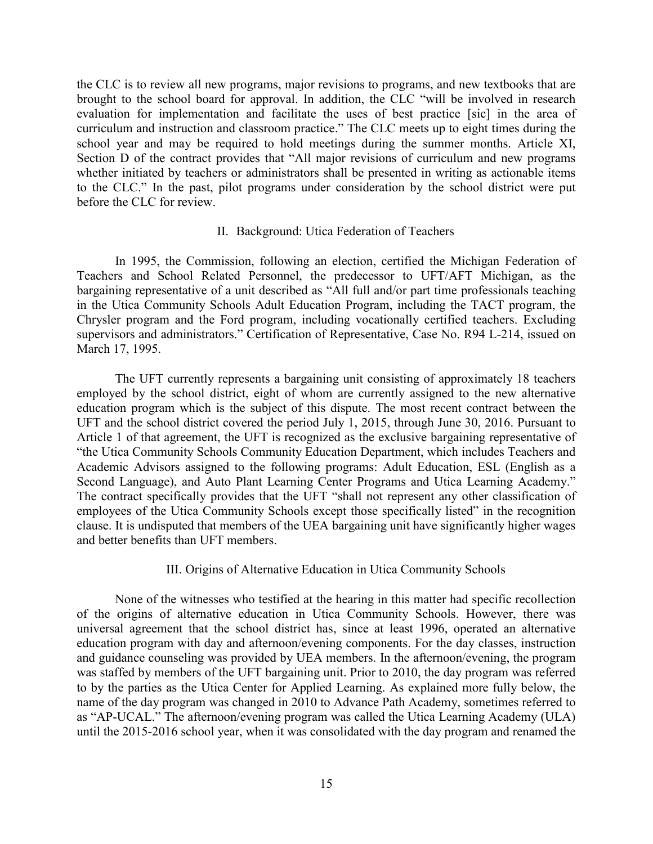the CLC is to review all new programs, major revisions to programs, and new textbooks that are brought to the school board for approval. In addition, the CLC "will be involved in research evaluation for implementation and facilitate the uses of best practice [sic] in the area of curriculum and instruction and classroom practice." The CLC meets up to eight times during the school year and may be required to hold meetings during the summer months. Article XI, Section D of the contract provides that "All major revisions of curriculum and new programs whether initiated by teachers or administrators shall be presented in writing as actionable items to the CLC." In the past, pilot programs under consideration by the school district were put before the CLC for review.

#### II. Background: Utica Federation of Teachers

In 1995, the Commission, following an election, certified the Michigan Federation of Teachers and School Related Personnel, the predecessor to UFT/AFT Michigan, as the bargaining representative of a unit described as "All full and/or part time professionals teaching in the Utica Community Schools Adult Education Program, including the TACT program, the Chrysler program and the Ford program, including vocationally certified teachers. Excluding supervisors and administrators." Certification of Representative, Case No. R94 L-214, issued on March 17, 1995.

The UFT currently represents a bargaining unit consisting of approximately 18 teachers employed by the school district, eight of whom are currently assigned to the new alternative education program which is the subject of this dispute. The most recent contract between the UFT and the school district covered the period July 1, 2015, through June 30, 2016. Pursuant to Article 1 of that agreement, the UFT is recognized as the exclusive bargaining representative of "the Utica Community Schools Community Education Department, which includes Teachers and Academic Advisors assigned to the following programs: Adult Education, ESL (English as a Second Language), and Auto Plant Learning Center Programs and Utica Learning Academy." The contract specifically provides that the UFT "shall not represent any other classification of employees of the Utica Community Schools except those specifically listed" in the recognition clause. It is undisputed that members of the UEA bargaining unit have significantly higher wages and better benefits than UFT members.

## III. Origins of Alternative Education in Utica Community Schools

None of the witnesses who testified at the hearing in this matter had specific recollection of the origins of alternative education in Utica Community Schools. However, there was universal agreement that the school district has, since at least 1996, operated an alternative education program with day and afternoon/evening components. For the day classes, instruction and guidance counseling was provided by UEA members. In the afternoon/evening, the program was staffed by members of the UFT bargaining unit. Prior to 2010, the day program was referred to by the parties as the Utica Center for Applied Learning. As explained more fully below, the name of the day program was changed in 2010 to Advance Path Academy, sometimes referred to as "AP-UCAL." The afternoon/evening program was called the Utica Learning Academy (ULA) until the 2015-2016 school year, when it was consolidated with the day program and renamed the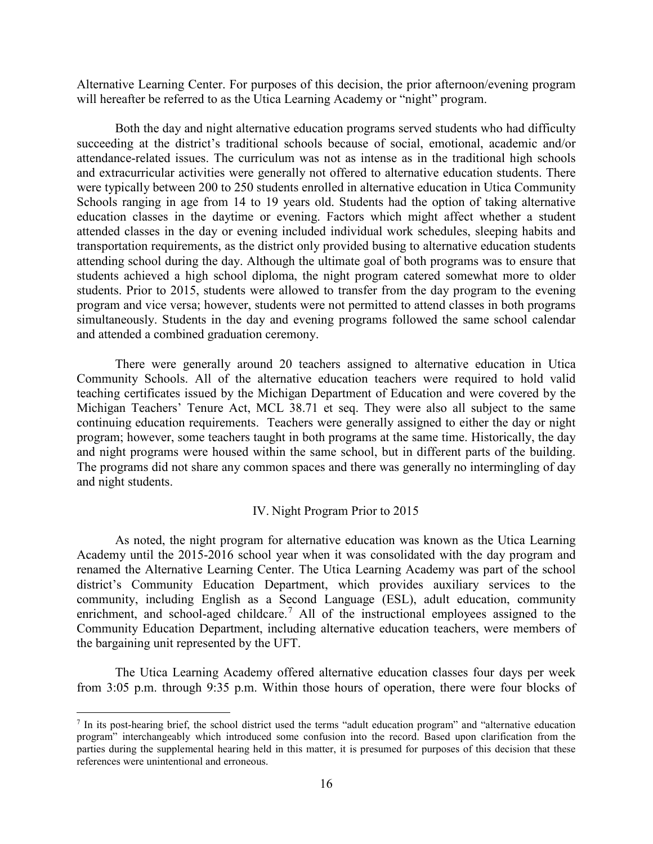Alternative Learning Center. For purposes of this decision, the prior afternoon/evening program will hereafter be referred to as the Utica Learning Academy or "night" program.

Both the day and night alternative education programs served students who had difficulty succeeding at the district's traditional schools because of social, emotional, academic and/or attendance-related issues. The curriculum was not as intense as in the traditional high schools and extracurricular activities were generally not offered to alternative education students. There were typically between 200 to 250 students enrolled in alternative education in Utica Community Schools ranging in age from 14 to 19 years old. Students had the option of taking alternative education classes in the daytime or evening. Factors which might affect whether a student attended classes in the day or evening included individual work schedules, sleeping habits and transportation requirements, as the district only provided busing to alternative education students attending school during the day. Although the ultimate goal of both programs was to ensure that students achieved a high school diploma, the night program catered somewhat more to older students. Prior to 2015, students were allowed to transfer from the day program to the evening program and vice versa; however, students were not permitted to attend classes in both programs simultaneously. Students in the day and evening programs followed the same school calendar and attended a combined graduation ceremony.

There were generally around 20 teachers assigned to alternative education in Utica Community Schools. All of the alternative education teachers were required to hold valid teaching certificates issued by the Michigan Department of Education and were covered by the Michigan Teachers' Tenure Act, MCL 38.71 et seq. They were also all subject to the same continuing education requirements. Teachers were generally assigned to either the day or night program; however, some teachers taught in both programs at the same time. Historically, the day and night programs were housed within the same school, but in different parts of the building. The programs did not share any common spaces and there was generally no intermingling of day and night students.

## IV. Night Program Prior to 2015

As noted, the night program for alternative education was known as the Utica Learning Academy until the 2015-2016 school year when it was consolidated with the day program and renamed the Alternative Learning Center. The Utica Learning Academy was part of the school district's Community Education Department, which provides auxiliary services to the community, including English as a Second Language (ESL), adult education, community enrichment, and school-aged childcare.<sup>[7](#page-15-0)</sup> All of the instructional employees assigned to the Community Education Department, including alternative education teachers, were members of the bargaining unit represented by the UFT.

The Utica Learning Academy offered alternative education classes four days per week from 3:05 p.m. through 9:35 p.m. Within those hours of operation, there were four blocks of

<span id="page-15-0"></span> <sup>7</sup> In its post-hearing brief, the school district used the terms "adult education program" and "alternative education program" interchangeably which introduced some confusion into the record. Based upon clarification from the parties during the supplemental hearing held in this matter, it is presumed for purposes of this decision that these references were unintentional and erroneous.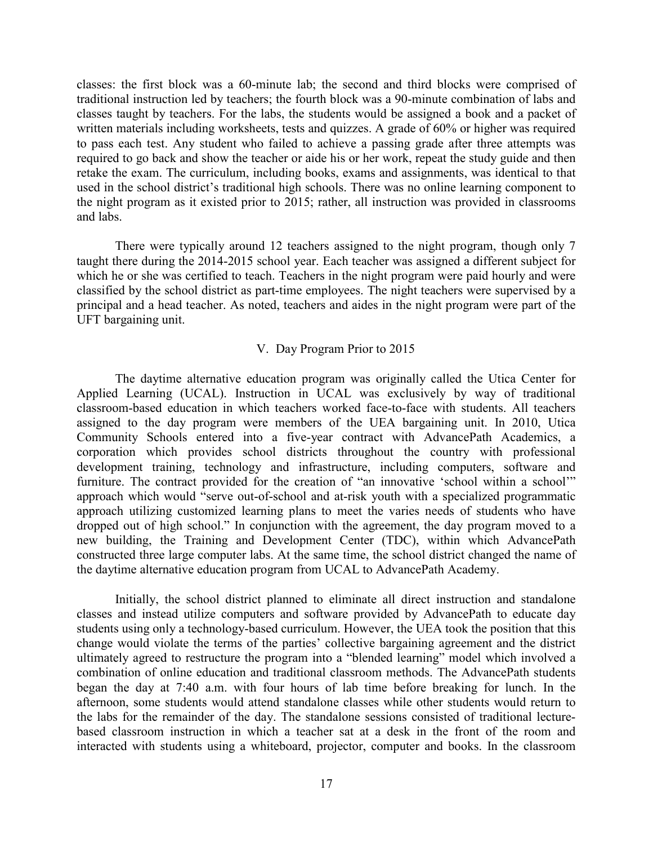classes: the first block was a 60-minute lab; the second and third blocks were comprised of traditional instruction led by teachers; the fourth block was a 90-minute combination of labs and classes taught by teachers. For the labs, the students would be assigned a book and a packet of written materials including worksheets, tests and quizzes. A grade of 60% or higher was required to pass each test. Any student who failed to achieve a passing grade after three attempts was required to go back and show the teacher or aide his or her work, repeat the study guide and then retake the exam. The curriculum, including books, exams and assignments, was identical to that used in the school district's traditional high schools. There was no online learning component to the night program as it existed prior to 2015; rather, all instruction was provided in classrooms and labs.

There were typically around 12 teachers assigned to the night program, though only 7 taught there during the 2014-2015 school year. Each teacher was assigned a different subject for which he or she was certified to teach. Teachers in the night program were paid hourly and were classified by the school district as part-time employees. The night teachers were supervised by a principal and a head teacher. As noted, teachers and aides in the night program were part of the UFT bargaining unit.

#### V. Day Program Prior to 2015

The daytime alternative education program was originally called the Utica Center for Applied Learning (UCAL). Instruction in UCAL was exclusively by way of traditional classroom-based education in which teachers worked face-to-face with students. All teachers assigned to the day program were members of the UEA bargaining unit. In 2010, Utica Community Schools entered into a five-year contract with AdvancePath Academics, a corporation which provides school districts throughout the country with professional development training, technology and infrastructure, including computers, software and furniture. The contract provided for the creation of "an innovative 'school within a school'" approach which would "serve out-of-school and at-risk youth with a specialized programmatic approach utilizing customized learning plans to meet the varies needs of students who have dropped out of high school." In conjunction with the agreement, the day program moved to a new building, the Training and Development Center (TDC), within which AdvancePath constructed three large computer labs. At the same time, the school district changed the name of the daytime alternative education program from UCAL to AdvancePath Academy.

Initially, the school district planned to eliminate all direct instruction and standalone classes and instead utilize computers and software provided by AdvancePath to educate day students using only a technology-based curriculum. However, the UEA took the position that this change would violate the terms of the parties' collective bargaining agreement and the district ultimately agreed to restructure the program into a "blended learning" model which involved a combination of online education and traditional classroom methods. The AdvancePath students began the day at 7:40 a.m. with four hours of lab time before breaking for lunch. In the afternoon, some students would attend standalone classes while other students would return to the labs for the remainder of the day. The standalone sessions consisted of traditional lecturebased classroom instruction in which a teacher sat at a desk in the front of the room and interacted with students using a whiteboard, projector, computer and books. In the classroom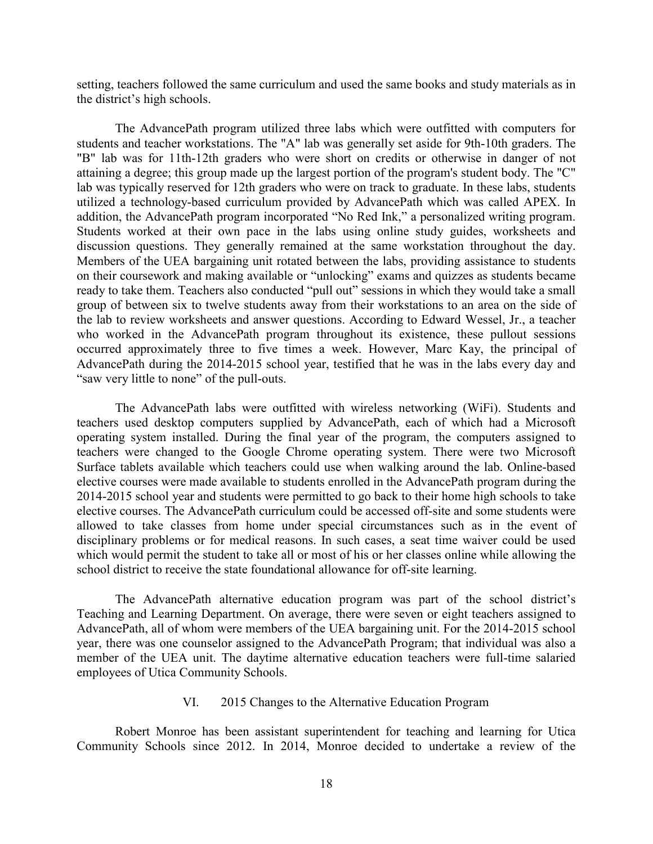setting, teachers followed the same curriculum and used the same books and study materials as in the district's high schools.

The AdvancePath program utilized three labs which were outfitted with computers for students and teacher workstations. The "A" lab was generally set aside for 9th-10th graders. The "B" lab was for 11th-12th graders who were short on credits or otherwise in danger of not attaining a degree; this group made up the largest portion of the program's student body. The "C" lab was typically reserved for 12th graders who were on track to graduate. In these labs, students utilized a technology-based curriculum provided by AdvancePath which was called APEX. In addition, the AdvancePath program incorporated "No Red Ink," a personalized writing program. Students worked at their own pace in the labs using online study guides, worksheets and discussion questions. They generally remained at the same workstation throughout the day. Members of the UEA bargaining unit rotated between the labs, providing assistance to students on their coursework and making available or "unlocking" exams and quizzes as students became ready to take them. Teachers also conducted "pull out" sessions in which they would take a small group of between six to twelve students away from their workstations to an area on the side of the lab to review worksheets and answer questions. According to Edward Wessel, Jr., a teacher who worked in the AdvancePath program throughout its existence, these pullout sessions occurred approximately three to five times a week. However, Marc Kay, the principal of AdvancePath during the 2014-2015 school year, testified that he was in the labs every day and "saw very little to none" of the pull-outs.

The AdvancePath labs were outfitted with wireless networking (WiFi). Students and teachers used desktop computers supplied by AdvancePath, each of which had a Microsoft operating system installed. During the final year of the program, the computers assigned to teachers were changed to the Google Chrome operating system. There were two Microsoft Surface tablets available which teachers could use when walking around the lab. Online-based elective courses were made available to students enrolled in the AdvancePath program during the 2014-2015 school year and students were permitted to go back to their home high schools to take elective courses. The AdvancePath curriculum could be accessed off-site and some students were allowed to take classes from home under special circumstances such as in the event of disciplinary problems or for medical reasons. In such cases, a seat time waiver could be used which would permit the student to take all or most of his or her classes online while allowing the school district to receive the state foundational allowance for off-site learning.

The AdvancePath alternative education program was part of the school district's Teaching and Learning Department. On average, there were seven or eight teachers assigned to AdvancePath, all of whom were members of the UEA bargaining unit. For the 2014-2015 school year, there was one counselor assigned to the AdvancePath Program; that individual was also a member of the UEA unit. The daytime alternative education teachers were full-time salaried employees of Utica Community Schools.

## VI. 2015 Changes to the Alternative Education Program

Robert Monroe has been assistant superintendent for teaching and learning for Utica Community Schools since 2012. In 2014, Monroe decided to undertake a review of the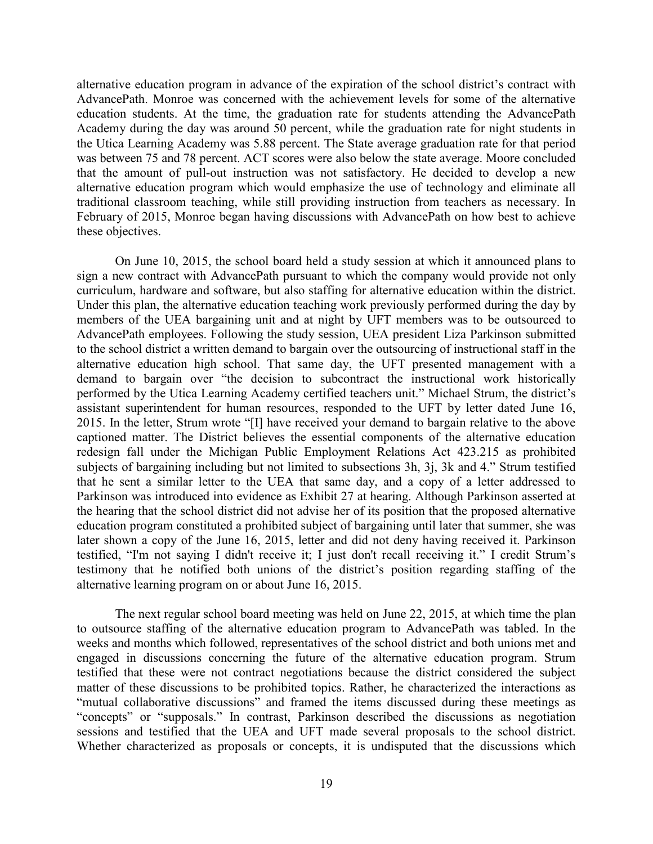alternative education program in advance of the expiration of the school district's contract with AdvancePath. Monroe was concerned with the achievement levels for some of the alternative education students. At the time, the graduation rate for students attending the AdvancePath Academy during the day was around 50 percent, while the graduation rate for night students in the Utica Learning Academy was 5.88 percent. The State average graduation rate for that period was between 75 and 78 percent. ACT scores were also below the state average. Moore concluded that the amount of pull-out instruction was not satisfactory. He decided to develop a new alternative education program which would emphasize the use of technology and eliminate all traditional classroom teaching, while still providing instruction from teachers as necessary. In February of 2015, Monroe began having discussions with AdvancePath on how best to achieve these objectives.

On June 10, 2015, the school board held a study session at which it announced plans to sign a new contract with AdvancePath pursuant to which the company would provide not only curriculum, hardware and software, but also staffing for alternative education within the district. Under this plan, the alternative education teaching work previously performed during the day by members of the UEA bargaining unit and at night by UFT members was to be outsourced to AdvancePath employees. Following the study session, UEA president Liza Parkinson submitted to the school district a written demand to bargain over the outsourcing of instructional staff in the alternative education high school. That same day, the UFT presented management with a demand to bargain over "the decision to subcontract the instructional work historically performed by the Utica Learning Academy certified teachers unit." Michael Strum, the district's assistant superintendent for human resources, responded to the UFT by letter dated June 16, 2015. In the letter, Strum wrote "[I] have received your demand to bargain relative to the above captioned matter. The District believes the essential components of the alternative education redesign fall under the Michigan Public Employment Relations Act 423.215 as prohibited subjects of bargaining including but not limited to subsections 3h, 3j, 3k and 4." Strum testified that he sent a similar letter to the UEA that same day, and a copy of a letter addressed to Parkinson was introduced into evidence as Exhibit 27 at hearing. Although Parkinson asserted at the hearing that the school district did not advise her of its position that the proposed alternative education program constituted a prohibited subject of bargaining until later that summer, she was later shown a copy of the June 16, 2015, letter and did not deny having received it. Parkinson testified, "I'm not saying I didn't receive it; I just don't recall receiving it." I credit Strum's testimony that he notified both unions of the district's position regarding staffing of the alternative learning program on or about June 16, 2015.

The next regular school board meeting was held on June 22, 2015, at which time the plan to outsource staffing of the alternative education program to AdvancePath was tabled. In the weeks and months which followed, representatives of the school district and both unions met and engaged in discussions concerning the future of the alternative education program. Strum testified that these were not contract negotiations because the district considered the subject matter of these discussions to be prohibited topics. Rather, he characterized the interactions as "mutual collaborative discussions" and framed the items discussed during these meetings as "concepts" or "supposals." In contrast, Parkinson described the discussions as negotiation sessions and testified that the UEA and UFT made several proposals to the school district. Whether characterized as proposals or concepts, it is undisputed that the discussions which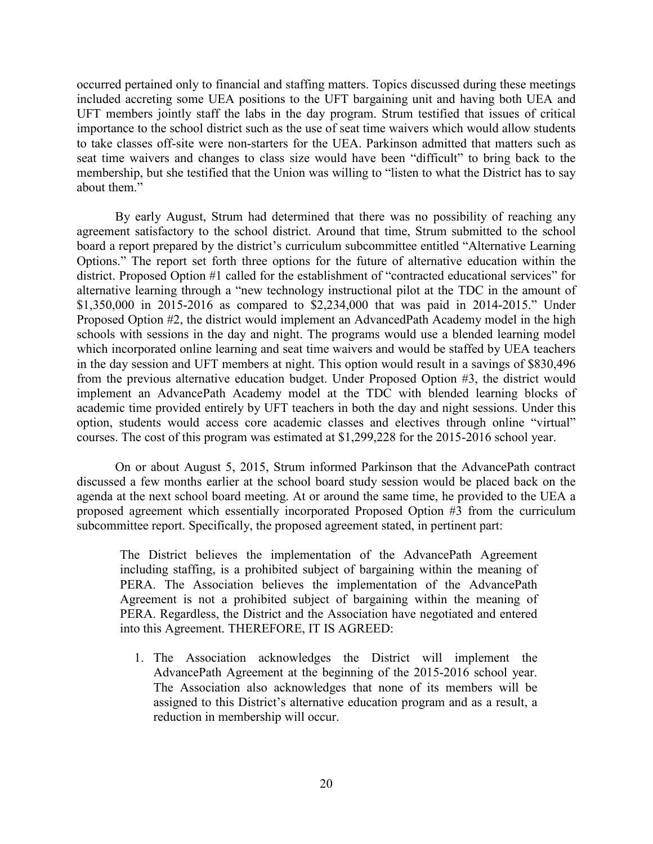occurred pertained only to financial and staffing matters. Topics discussed during these meetings included accreting some UEA positions to the UFT bargaining unit and having both UEA and UFT members jointly staff the labs in the day program. Strum testified that issues of critical importance to the school district such as the use of seat time waivers which would allow students to take classes off-site were non-starters for the UEA. Parkinson admitted that matters such as seat time waivers and changes to class size would have been "difficult" to bring back to the membership, but she testified that the Union was willing to "listen to what the District has to say about them."

By early August, Strum had determined that there was no possibility of reaching any agreement satisfactory to the school district. Around that time, Strum submitted to the school board a report prepared by the district's curriculum subcommittee entitled "Alternative Learning Options." The report set forth three options for the future of alternative education within the district. Proposed Option #1 called for the establishment of "contracted educational services" for alternative learning through a "new technology instructional pilot at the TDC in the amount of \$1,350,000 in 2015-2016 as compared to \$2,234,000 that was paid in 2014-2015." Under Proposed Option #2, the district would implement an AdvancedPath Academy model in the high schools with sessions in the day and night. The programs would use a blended learning model which incorporated online learning and seat time waivers and would be staffed by UEA teachers in the day session and UFT members at night. This option would result in a savings of \$830,496 from the previous alternative education budget. Under Proposed Option #3, the district would implement an AdvancePath Academy model at the TDC with blended learning blocks of academic time provided entirely by UFT teachers in both the day and night sessions. Under this option, students would access core academic classes and electives through online "virtual" courses. The cost of this program was estimated at \$1,299,228 for the 2015-2016 school year.

On or about August 5, 2015, Strum informed Parkinson that the AdvancePath contract discussed a few months earlier at the school board study session would be placed back on the agenda at the next school board meeting. At or around the same time, he provided to the UEA a proposed agreement which essentially incorporated Proposed Option #3 from the curriculum subcommittee report. Specifically, the proposed agreement stated, in pertinent part:

The District believes the implementation of the AdvancePath Agreement including staffing, is a prohibited subject of bargaining within the meaning of PERA. The Association believes the implementation of the AdvancePath Agreement is not a prohibited subject of bargaining within the meaning of PERA. Regardless, the District and the Association have negotiated and entered into this Agreement. THEREFORE, IT IS AGREED:

1. The Association acknowledges the District will implement the AdvancePath Agreement at the beginning of the 2015-2016 school year. The Association also acknowledges that none of its members will be assigned to this District's alternative education program and as a result, a reduction in membership will occur.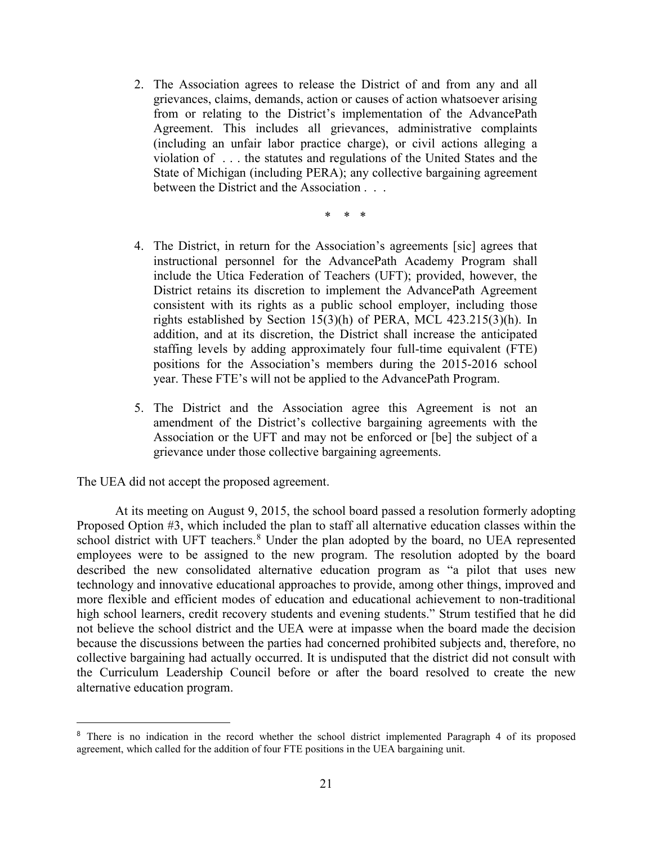- 2. The Association agrees to release the District of and from any and all grievances, claims, demands, action or causes of action whatsoever arising from or relating to the District's implementation of the AdvancePath Agreement. This includes all grievances, administrative complaints (including an unfair labor practice charge), or civil actions alleging a violation of . . . the statutes and regulations of the United States and the State of Michigan (including PERA); any collective bargaining agreement between the District and the Association . . .
	- \* \* \*
- 4. The District, in return for the Association's agreements [sic] agrees that instructional personnel for the AdvancePath Academy Program shall include the Utica Federation of Teachers (UFT); provided, however, the District retains its discretion to implement the AdvancePath Agreement consistent with its rights as a public school employer, including those rights established by Section 15(3)(h) of PERA, MCL 423.215(3)(h). In addition, and at its discretion, the District shall increase the anticipated staffing levels by adding approximately four full-time equivalent (FTE) positions for the Association's members during the 2015-2016 school year. These FTE's will not be applied to the AdvancePath Program.
- 5. The District and the Association agree this Agreement is not an amendment of the District's collective bargaining agreements with the Association or the UFT and may not be enforced or [be] the subject of a grievance under those collective bargaining agreements.

The UEA did not accept the proposed agreement.

 $\overline{a}$ 

At its meeting on August 9, 2015, the school board passed a resolution formerly adopting Proposed Option #3, which included the plan to staff all alternative education classes within the school district with UFT teachers.<sup>[8](#page-20-0)</sup> Under the plan adopted by the board, no UEA represented employees were to be assigned to the new program. The resolution adopted by the board described the new consolidated alternative education program as "a pilot that uses new technology and innovative educational approaches to provide, among other things, improved and more flexible and efficient modes of education and educational achievement to non-traditional high school learners, credit recovery students and evening students." Strum testified that he did not believe the school district and the UEA were at impasse when the board made the decision because the discussions between the parties had concerned prohibited subjects and, therefore, no collective bargaining had actually occurred. It is undisputed that the district did not consult with the Curriculum Leadership Council before or after the board resolved to create the new alternative education program.

<span id="page-20-0"></span><sup>&</sup>lt;sup>8</sup> There is no indication in the record whether the school district implemented Paragraph 4 of its proposed agreement, which called for the addition of four FTE positions in the UEA bargaining unit.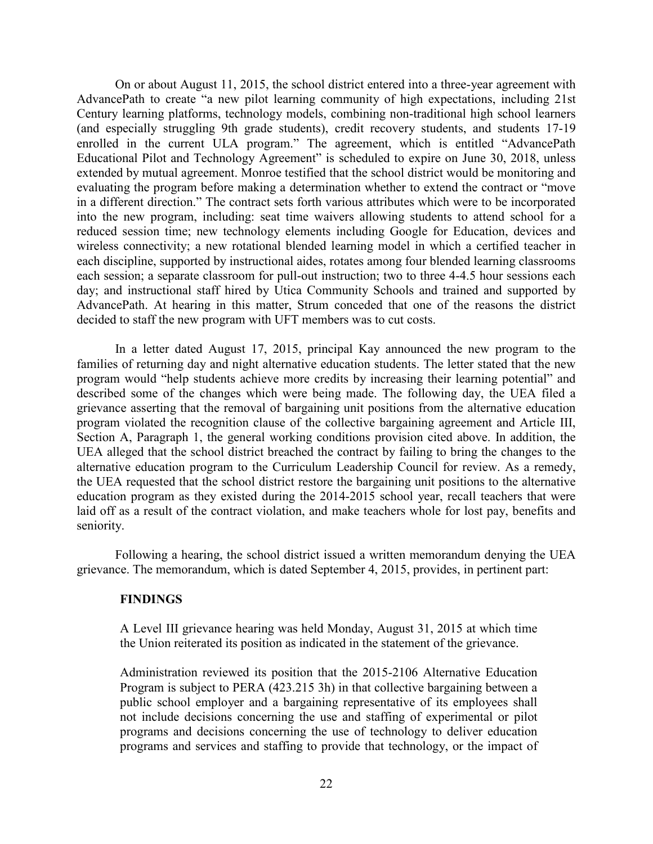On or about August 11, 2015, the school district entered into a three-year agreement with AdvancePath to create "a new pilot learning community of high expectations, including 21st Century learning platforms, technology models, combining non-traditional high school learners (and especially struggling 9th grade students), credit recovery students, and students 17-19 enrolled in the current ULA program." The agreement, which is entitled "AdvancePath" Educational Pilot and Technology Agreement" is scheduled to expire on June 30, 2018, unless extended by mutual agreement. Monroe testified that the school district would be monitoring and evaluating the program before making a determination whether to extend the contract or "move in a different direction." The contract sets forth various attributes which were to be incorporated into the new program, including: seat time waivers allowing students to attend school for a reduced session time; new technology elements including Google for Education, devices and wireless connectivity; a new rotational blended learning model in which a certified teacher in each discipline, supported by instructional aides, rotates among four blended learning classrooms each session; a separate classroom for pull-out instruction; two to three 4-4.5 hour sessions each day; and instructional staff hired by Utica Community Schools and trained and supported by AdvancePath. At hearing in this matter, Strum conceded that one of the reasons the district decided to staff the new program with UFT members was to cut costs.

In a letter dated August 17, 2015, principal Kay announced the new program to the families of returning day and night alternative education students. The letter stated that the new program would "help students achieve more credits by increasing their learning potential" and described some of the changes which were being made. The following day, the UEA filed a grievance asserting that the removal of bargaining unit positions from the alternative education program violated the recognition clause of the collective bargaining agreement and Article III, Section A, Paragraph 1, the general working conditions provision cited above. In addition, the UEA alleged that the school district breached the contract by failing to bring the changes to the alternative education program to the Curriculum Leadership Council for review. As a remedy, the UEA requested that the school district restore the bargaining unit positions to the alternative education program as they existed during the 2014-2015 school year, recall teachers that were laid off as a result of the contract violation, and make teachers whole for lost pay, benefits and seniority.

Following a hearing, the school district issued a written memorandum denying the UEA grievance. The memorandum, which is dated September 4, 2015, provides, in pertinent part:

#### **FINDINGS**

A Level III grievance hearing was held Monday, August 31, 2015 at which time the Union reiterated its position as indicated in the statement of the grievance.

Administration reviewed its position that the 2015-2106 Alternative Education Program is subject to PERA (423.215 3h) in that collective bargaining between a public school employer and a bargaining representative of its employees shall not include decisions concerning the use and staffing of experimental or pilot programs and decisions concerning the use of technology to deliver education programs and services and staffing to provide that technology, or the impact of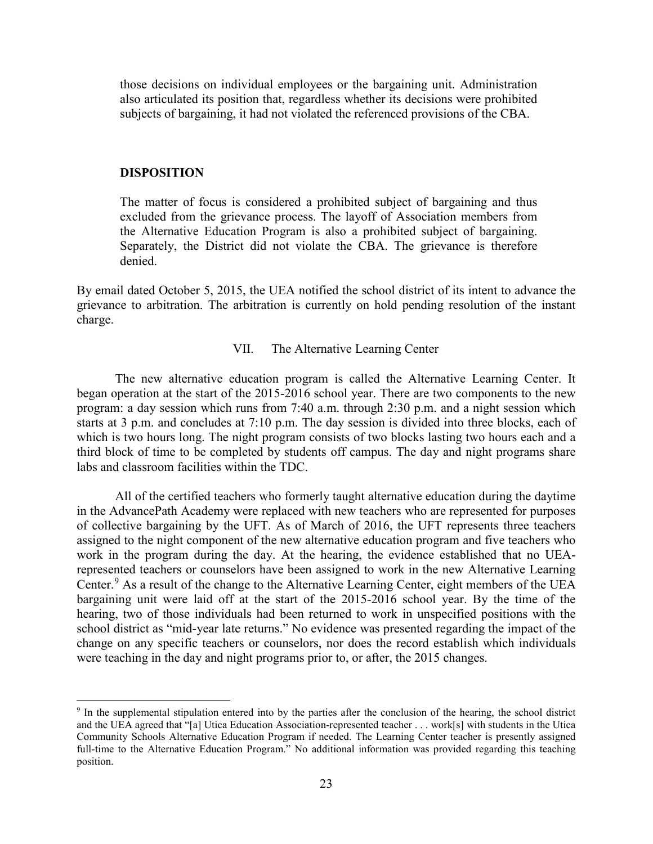those decisions on individual employees or the bargaining unit. Administration also articulated its position that, regardless whether its decisions were prohibited subjects of bargaining, it had not violated the referenced provisions of the CBA.

## **DISPOSITION**

The matter of focus is considered a prohibited subject of bargaining and thus excluded from the grievance process. The layoff of Association members from the Alternative Education Program is also a prohibited subject of bargaining. Separately, the District did not violate the CBA. The grievance is therefore denied.

By email dated October 5, 2015, the UEA notified the school district of its intent to advance the grievance to arbitration. The arbitration is currently on hold pending resolution of the instant charge.

#### VII. The Alternative Learning Center

The new alternative education program is called the Alternative Learning Center. It began operation at the start of the 2015-2016 school year. There are two components to the new program: a day session which runs from 7:40 a.m. through 2:30 p.m. and a night session which starts at 3 p.m. and concludes at 7:10 p.m. The day session is divided into three blocks, each of which is two hours long. The night program consists of two blocks lasting two hours each and a third block of time to be completed by students off campus. The day and night programs share labs and classroom facilities within the TDC.

All of the certified teachers who formerly taught alternative education during the daytime in the AdvancePath Academy were replaced with new teachers who are represented for purposes of collective bargaining by the UFT. As of March of 2016, the UFT represents three teachers assigned to the night component of the new alternative education program and five teachers who work in the program during the day. At the hearing, the evidence established that no UEArepresented teachers or counselors have been assigned to work in the new Alternative Learning Center.<sup>[9](#page-22-0)</sup> As a result of the change to the Alternative Learning Center, eight members of the UEA bargaining unit were laid off at the start of the 2015-2016 school year. By the time of the hearing, two of those individuals had been returned to work in unspecified positions with the school district as "mid-year late returns." No evidence was presented regarding the impact of the change on any specific teachers or counselors, nor does the record establish which individuals were teaching in the day and night programs prior to, or after, the 2015 changes.

<span id="page-22-0"></span><sup>&</sup>lt;sup>9</sup> In the supplemental stipulation entered into by the parties after the conclusion of the hearing, the school district and the UEA agreed that "[a] Utica Education Association-represented teacher . . . work[s] with students in the Utica Community Schools Alternative Education Program if needed. The Learning Center teacher is presently assigned full-time to the Alternative Education Program." No additional information was provided regarding this teaching position.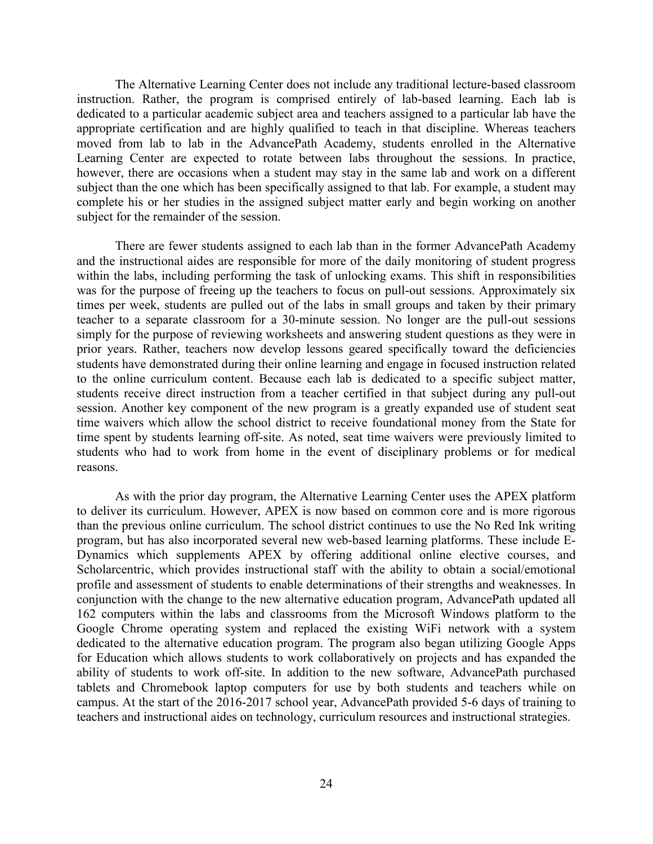The Alternative Learning Center does not include any traditional lecture-based classroom instruction. Rather, the program is comprised entirely of lab-based learning. Each lab is dedicated to a particular academic subject area and teachers assigned to a particular lab have the appropriate certification and are highly qualified to teach in that discipline. Whereas teachers moved from lab to lab in the AdvancePath Academy, students enrolled in the Alternative Learning Center are expected to rotate between labs throughout the sessions. In practice, however, there are occasions when a student may stay in the same lab and work on a different subject than the one which has been specifically assigned to that lab. For example, a student may complete his or her studies in the assigned subject matter early and begin working on another subject for the remainder of the session.

There are fewer students assigned to each lab than in the former AdvancePath Academy and the instructional aides are responsible for more of the daily monitoring of student progress within the labs, including performing the task of unlocking exams. This shift in responsibilities was for the purpose of freeing up the teachers to focus on pull-out sessions. Approximately six times per week, students are pulled out of the labs in small groups and taken by their primary teacher to a separate classroom for a 30-minute session. No longer are the pull-out sessions simply for the purpose of reviewing worksheets and answering student questions as they were in prior years. Rather, teachers now develop lessons geared specifically toward the deficiencies students have demonstrated during their online learning and engage in focused instruction related to the online curriculum content. Because each lab is dedicated to a specific subject matter, students receive direct instruction from a teacher certified in that subject during any pull-out session. Another key component of the new program is a greatly expanded use of student seat time waivers which allow the school district to receive foundational money from the State for time spent by students learning off-site. As noted, seat time waivers were previously limited to students who had to work from home in the event of disciplinary problems or for medical reasons.

As with the prior day program, the Alternative Learning Center uses the APEX platform to deliver its curriculum. However, APEX is now based on common core and is more rigorous than the previous online curriculum. The school district continues to use the No Red Ink writing program, but has also incorporated several new web-based learning platforms. These include E-Dynamics which supplements APEX by offering additional online elective courses, and Scholarcentric, which provides instructional staff with the ability to obtain a social/emotional profile and assessment of students to enable determinations of their strengths and weaknesses. In conjunction with the change to the new alternative education program, AdvancePath updated all 162 computers within the labs and classrooms from the Microsoft Windows platform to the Google Chrome operating system and replaced the existing WiFi network with a system dedicated to the alternative education program. The program also began utilizing Google Apps for Education which allows students to work collaboratively on projects and has expanded the ability of students to work off-site. In addition to the new software, AdvancePath purchased tablets and Chromebook laptop computers for use by both students and teachers while on campus. At the start of the 2016-2017 school year, AdvancePath provided 5-6 days of training to teachers and instructional aides on technology, curriculum resources and instructional strategies.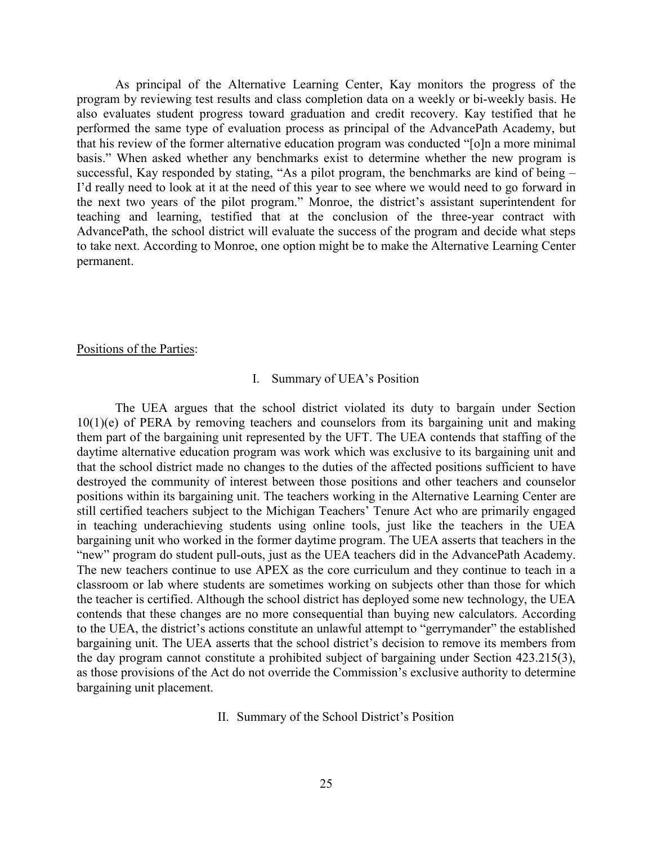As principal of the Alternative Learning Center, Kay monitors the progress of the program by reviewing test results and class completion data on a weekly or bi-weekly basis. He also evaluates student progress toward graduation and credit recovery. Kay testified that he performed the same type of evaluation process as principal of the AdvancePath Academy, but that his review of the former alternative education program was conducted "[o]n a more minimal basis." When asked whether any benchmarks exist to determine whether the new program is successful, Kay responded by stating, "As a pilot program, the benchmarks are kind of being – I'd really need to look at it at the need of this year to see where we would need to go forward in the next two years of the pilot program." Monroe, the district's assistant superintendent for teaching and learning, testified that at the conclusion of the three-year contract with AdvancePath, the school district will evaluate the success of the program and decide what steps to take next. According to Monroe, one option might be to make the Alternative Learning Center permanent.

#### Positions of the Parties:

## I. Summary of UEA's Position

The UEA argues that the school district violated its duty to bargain under Section 10(1)(e) of PERA by removing teachers and counselors from its bargaining unit and making them part of the bargaining unit represented by the UFT. The UEA contends that staffing of the daytime alternative education program was work which was exclusive to its bargaining unit and that the school district made no changes to the duties of the affected positions sufficient to have destroyed the community of interest between those positions and other teachers and counselor positions within its bargaining unit. The teachers working in the Alternative Learning Center are still certified teachers subject to the Michigan Teachers' Tenure Act who are primarily engaged in teaching underachieving students using online tools, just like the teachers in the UEA bargaining unit who worked in the former daytime program. The UEA asserts that teachers in the "new" program do student pull-outs, just as the UEA teachers did in the AdvancePath Academy. The new teachers continue to use APEX as the core curriculum and they continue to teach in a classroom or lab where students are sometimes working on subjects other than those for which the teacher is certified. Although the school district has deployed some new technology, the UEA contends that these changes are no more consequential than buying new calculators. According to the UEA, the district's actions constitute an unlawful attempt to "gerrymander" the established bargaining unit. The UEA asserts that the school district's decision to remove its members from the day program cannot constitute a prohibited subject of bargaining under Section 423.215(3), as those provisions of the Act do not override the Commission's exclusive authority to determine bargaining unit placement.

II. Summary of the School District's Position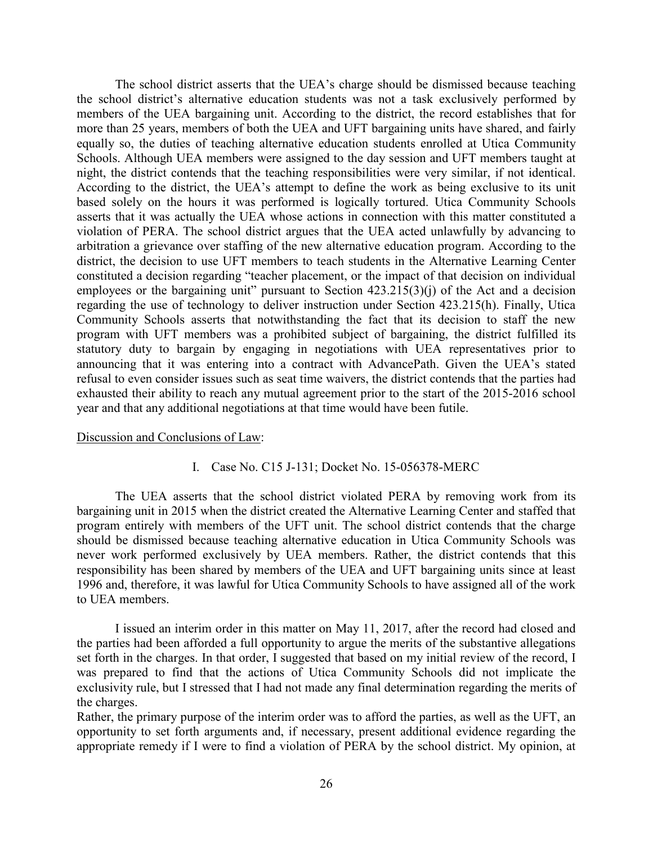The school district asserts that the UEA's charge should be dismissed because teaching the school district's alternative education students was not a task exclusively performed by members of the UEA bargaining unit. According to the district, the record establishes that for more than 25 years, members of both the UEA and UFT bargaining units have shared, and fairly equally so, the duties of teaching alternative education students enrolled at Utica Community Schools. Although UEA members were assigned to the day session and UFT members taught at night, the district contends that the teaching responsibilities were very similar, if not identical. According to the district, the UEA's attempt to define the work as being exclusive to its unit based solely on the hours it was performed is logically tortured. Utica Community Schools asserts that it was actually the UEA whose actions in connection with this matter constituted a violation of PERA. The school district argues that the UEA acted unlawfully by advancing to arbitration a grievance over staffing of the new alternative education program. According to the district, the decision to use UFT members to teach students in the Alternative Learning Center constituted a decision regarding "teacher placement, or the impact of that decision on individual employees or the bargaining unit" pursuant to Section  $423.215(3)(i)$  of the Act and a decision regarding the use of technology to deliver instruction under Section 423.215(h). Finally, Utica Community Schools asserts that notwithstanding the fact that its decision to staff the new program with UFT members was a prohibited subject of bargaining, the district fulfilled its statutory duty to bargain by engaging in negotiations with UEA representatives prior to announcing that it was entering into a contract with AdvancePath. Given the UEA's stated refusal to even consider issues such as seat time waivers, the district contends that the parties had exhausted their ability to reach any mutual agreement prior to the start of the 2015-2016 school year and that any additional negotiations at that time would have been futile.

#### Discussion and Conclusions of Law:

#### I. Case No. C15 J-131; Docket No. 15-056378-MERC

The UEA asserts that the school district violated PERA by removing work from its bargaining unit in 2015 when the district created the Alternative Learning Center and staffed that program entirely with members of the UFT unit. The school district contends that the charge should be dismissed because teaching alternative education in Utica Community Schools was never work performed exclusively by UEA members. Rather, the district contends that this responsibility has been shared by members of the UEA and UFT bargaining units since at least 1996 and, therefore, it was lawful for Utica Community Schools to have assigned all of the work to UEA members.

I issued an interim order in this matter on May 11, 2017, after the record had closed and the parties had been afforded a full opportunity to argue the merits of the substantive allegations set forth in the charges. In that order, I suggested that based on my initial review of the record, I was prepared to find that the actions of Utica Community Schools did not implicate the exclusivity rule, but I stressed that I had not made any final determination regarding the merits of the charges.

Rather, the primary purpose of the interim order was to afford the parties, as well as the UFT, an opportunity to set forth arguments and, if necessary, present additional evidence regarding the appropriate remedy if I were to find a violation of PERA by the school district. My opinion, at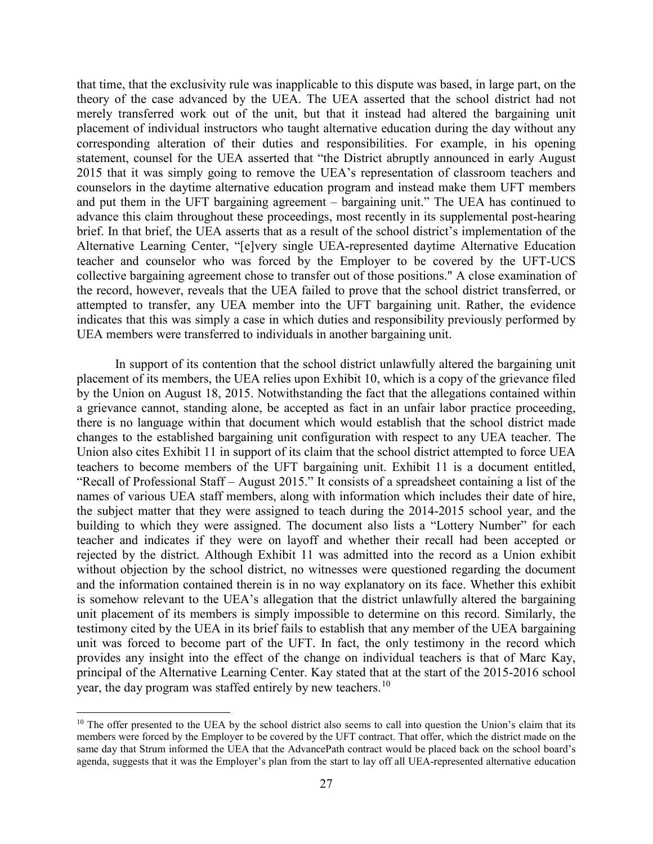that time, that the exclusivity rule was inapplicable to this dispute was based, in large part, on the theory of the case advanced by the UEA. The UEA asserted that the school district had not merely transferred work out of the unit, but that it instead had altered the bargaining unit placement of individual instructors who taught alternative education during the day without any corresponding alteration of their duties and responsibilities. For example, in his opening statement, counsel for the UEA asserted that "the District abruptly announced in early August 2015 that it was simply going to remove the UEA's representation of classroom teachers and counselors in the daytime alternative education program and instead make them UFT members and put them in the UFT bargaining agreement – bargaining unit." The UEA has continued to advance this claim throughout these proceedings, most recently in its supplemental post-hearing brief. In that brief, the UEA asserts that as a result of the school district's implementation of the Alternative Learning Center, "[e]very single UEA-represented daytime Alternative Education teacher and counselor who was forced by the Employer to be covered by the UFT-UCS collective bargaining agreement chose to transfer out of those positions." A close examination of the record, however, reveals that the UEA failed to prove that the school district transferred, or attempted to transfer, any UEA member into the UFT bargaining unit. Rather, the evidence indicates that this was simply a case in which duties and responsibility previously performed by UEA members were transferred to individuals in another bargaining unit.

In support of its contention that the school district unlawfully altered the bargaining unit placement of its members, the UEA relies upon Exhibit 10, which is a copy of the grievance filed by the Union on August 18, 2015. Notwithstanding the fact that the allegations contained within a grievance cannot, standing alone, be accepted as fact in an unfair labor practice proceeding, there is no language within that document which would establish that the school district made changes to the established bargaining unit configuration with respect to any UEA teacher. The Union also cites Exhibit 11 in support of its claim that the school district attempted to force UEA teachers to become members of the UFT bargaining unit. Exhibit 11 is a document entitled, "Recall of Professional Staff – August 2015." It consists of a spreadsheet containing a list of the names of various UEA staff members, along with information which includes their date of hire, the subject matter that they were assigned to teach during the 2014-2015 school year, and the building to which they were assigned. The document also lists a "Lottery Number" for each teacher and indicates if they were on layoff and whether their recall had been accepted or rejected by the district. Although Exhibit 11 was admitted into the record as a Union exhibit without objection by the school district, no witnesses were questioned regarding the document and the information contained therein is in no way explanatory on its face. Whether this exhibit is somehow relevant to the UEA's allegation that the district unlawfully altered the bargaining unit placement of its members is simply impossible to determine on this record. Similarly, the testimony cited by the UEA in its brief fails to establish that any member of the UEA bargaining unit was forced to become part of the UFT. In fact, the only testimony in the record which provides any insight into the effect of the change on individual teachers is that of Marc Kay, principal of the Alternative Learning Center. Kay stated that at the start of the 2015-2016 school year, the day program was staffed entirely by new teachers.<sup>[10](#page-26-0)</sup>

<span id="page-26-0"></span> $10$  The offer presented to the UEA by the school district also seems to call into question the Union's claim that its members were forced by the Employer to be covered by the UFT contract. That offer, which the district made on the same day that Strum informed the UEA that the AdvancePath contract would be placed back on the school board's agenda, suggests that it was the Employer's plan from the start to lay off all UEA-represented alternative education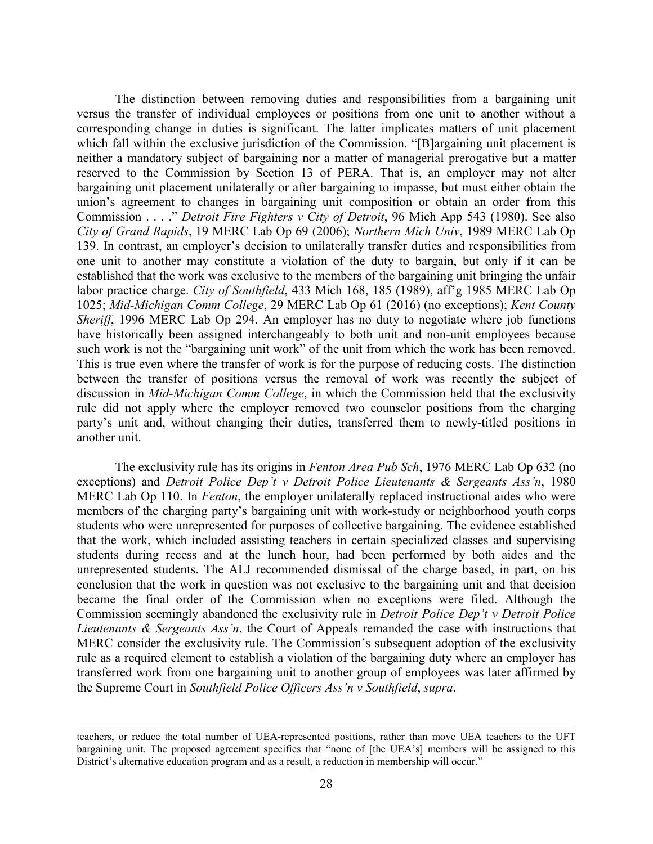The distinction between removing duties and responsibilities from a bargaining unit versus the transfer of individual employees or positions from one unit to another without a corresponding change in duties is significant. The latter implicates matters of unit placement which fall within the exclusive jurisdiction of the Commission. "[B]argaining unit placement is neither a mandatory subject of bargaining nor a matter of managerial prerogative but a matter reserved to the Commission by Section 13 of PERA. That is, an employer may not alter bargaining unit placement unilaterally or after bargaining to impasse, but must either obtain the union's agreement to changes in bargaining unit composition or obtain an order from this Commission . . . ." *Detroit Fire Fighters v City of Detroit*, 96 Mich App 543 (1980). See also *City of Grand Rapids*, 19 MERC Lab Op 69 (2006); *Northern Mich Univ*, 1989 MERC Lab Op 139. In contrast, an employer's decision to unilaterally transfer duties and responsibilities from one unit to another may constitute a violation of the duty to bargain, but only if it can be established that the work was exclusive to the members of the bargaining unit bringing the unfair labor practice charge. *City of Southfield*, 433 Mich 168, 185 (1989), aff'g 1985 MERC Lab Op 1025; *Mid-Michigan Comm College*, 29 MERC Lab Op 61 (2016) (no exceptions); *Kent County Sheriff*, 1996 MERC Lab Op 294. An employer has no duty to negotiate where job functions have historically been assigned interchangeably to both unit and non-unit employees because such work is not the "bargaining unit work" of the unit from which the work has been removed. This is true even where the transfer of work is for the purpose of reducing costs. The distinction between the transfer of positions versus the removal of work was recently the subject of discussion in *Mid-Michigan Comm College*, in which the Commission held that the exclusivity rule did not apply where the employer removed two counselor positions from the charging party's unit and, without changing their duties, transferred them to newly-titled positions in another unit.

The exclusivity rule has its origins in *Fenton Area Pub Sch*, 1976 MERC Lab Op 632 (no exceptions) and *Detroit Police Dep't v Detroit Police Lieutenants & Sergeants Ass'n*, 1980 MERC Lab Op 110. In *Fenton*, the employer unilaterally replaced instructional aides who were members of the charging party's bargaining unit with work-study or neighborhood youth corps students who were unrepresented for purposes of collective bargaining. The evidence established that the work, which included assisting teachers in certain specialized classes and supervising students during recess and at the lunch hour, had been performed by both aides and the unrepresented students. The ALJ recommended dismissal of the charge based, in part, on his conclusion that the work in question was not exclusive to the bargaining unit and that decision became the final order of the Commission when no exceptions were filed. Although the Commission seemingly abandoned the exclusivity rule in *Detroit Police Dep't v Detroit Police Lieutenants & Sergeants Ass'n*, the Court of Appeals remanded the case with instructions that MERC consider the exclusivity rule. The Commission's subsequent adoption of the exclusivity rule as a required element to establish a violation of the bargaining duty where an employer has transferred work from one bargaining unit to another group of employees was later affirmed by the Supreme Court in *Southfield Police Officers Ass'n v Southfield*, *supra*.

teachers, or reduce the total number of UEA-represented positions, rather than move UEA teachers to the UFT bargaining unit. The proposed agreement specifies that "none of [the UEA's] members will be assigned to this District's alternative education program and as a result, a reduction in membership will occur."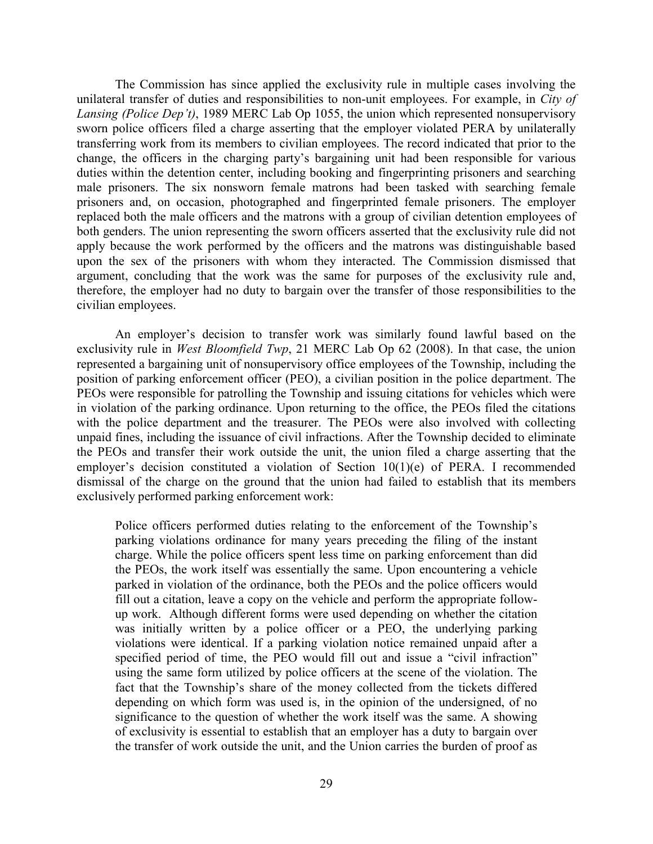The Commission has since applied the exclusivity rule in multiple cases involving the unilateral transfer of duties and responsibilities to non-unit employees. For example, in *City of Lansing (Police Dep't)*, 1989 MERC Lab Op 1055, the union which represented nonsupervisory sworn police officers filed a charge asserting that the employer violated PERA by unilaterally transferring work from its members to civilian employees. The record indicated that prior to the change, the officers in the charging party's bargaining unit had been responsible for various duties within the detention center, including booking and fingerprinting prisoners and searching male prisoners. The six nonsworn female matrons had been tasked with searching female prisoners and, on occasion, photographed and fingerprinted female prisoners. The employer replaced both the male officers and the matrons with a group of civilian detention employees of both genders. The union representing the sworn officers asserted that the exclusivity rule did not apply because the work performed by the officers and the matrons was distinguishable based upon the sex of the prisoners with whom they interacted. The Commission dismissed that argument, concluding that the work was the same for purposes of the exclusivity rule and, therefore, the employer had no duty to bargain over the transfer of those responsibilities to the civilian employees.

An employer's decision to transfer work was similarly found lawful based on the exclusivity rule in *West Bloomfield Twp*, 21 MERC Lab Op 62 (2008). In that case, the union represented a bargaining unit of nonsupervisory office employees of the Township, including the position of parking enforcement officer (PEO), a civilian position in the police department. The PEOs were responsible for patrolling the Township and issuing citations for vehicles which were in violation of the parking ordinance. Upon returning to the office, the PEOs filed the citations with the police department and the treasurer. The PEOs were also involved with collecting unpaid fines, including the issuance of civil infractions. After the Township decided to eliminate the PEOs and transfer their work outside the unit, the union filed a charge asserting that the employer's decision constituted a violation of Section 10(1)(e) of PERA. I recommended dismissal of the charge on the ground that the union had failed to establish that its members exclusively performed parking enforcement work:

Police officers performed duties relating to the enforcement of the Township's parking violations ordinance for many years preceding the filing of the instant charge. While the police officers spent less time on parking enforcement than did the PEOs, the work itself was essentially the same. Upon encountering a vehicle parked in violation of the ordinance, both the PEOs and the police officers would fill out a citation, leave a copy on the vehicle and perform the appropriate followup work. Although different forms were used depending on whether the citation was initially written by a police officer or a PEO, the underlying parking violations were identical. If a parking violation notice remained unpaid after a specified period of time, the PEO would fill out and issue a "civil infraction" using the same form utilized by police officers at the scene of the violation. The fact that the Township's share of the money collected from the tickets differed depending on which form was used is, in the opinion of the undersigned, of no significance to the question of whether the work itself was the same. A showing of exclusivity is essential to establish that an employer has a duty to bargain over the transfer of work outside the unit, and the Union carries the burden of proof as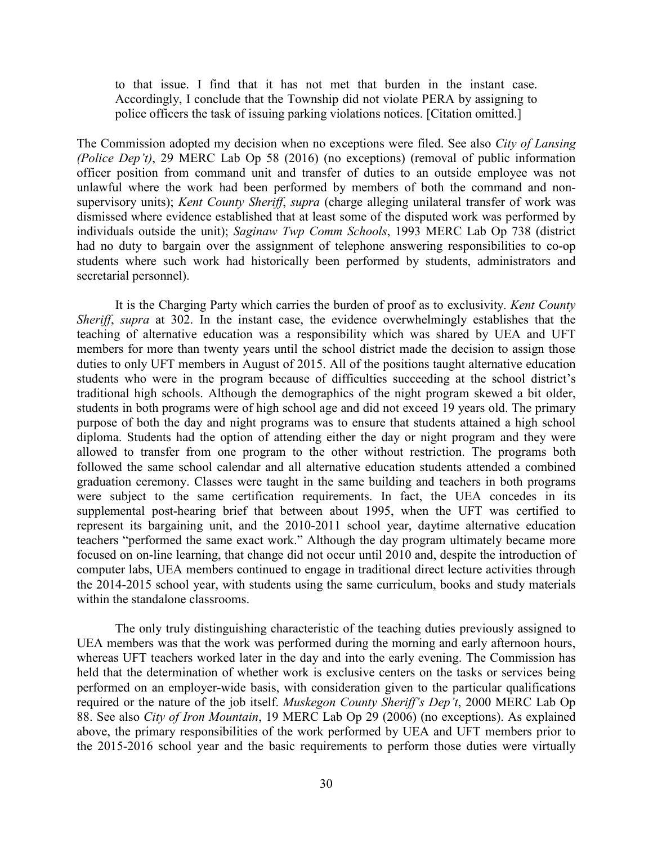to that issue. I find that it has not met that burden in the instant case. Accordingly, I conclude that the Township did not violate PERA by assigning to police officers the task of issuing parking violations notices. [Citation omitted.]

The Commission adopted my decision when no exceptions were filed. See also *City of Lansing (Police Dep't)*, 29 MERC Lab Op 58 (2016) (no exceptions) (removal of public information officer position from command unit and transfer of duties to an outside employee was not unlawful where the work had been performed by members of both the command and nonsupervisory units); *Kent County Sheriff*, *supra* (charge alleging unilateral transfer of work was dismissed where evidence established that at least some of the disputed work was performed by individuals outside the unit); *Saginaw Twp Comm Schools*, 1993 MERC Lab Op 738 (district had no duty to bargain over the assignment of telephone answering responsibilities to co-op students where such work had historically been performed by students, administrators and secretarial personnel).

It is the Charging Party which carries the burden of proof as to exclusivity. *Kent County Sheriff*, *supra* at 302. In the instant case, the evidence overwhelmingly establishes that the teaching of alternative education was a responsibility which was shared by UEA and UFT members for more than twenty years until the school district made the decision to assign those duties to only UFT members in August of 2015. All of the positions taught alternative education students who were in the program because of difficulties succeeding at the school district's traditional high schools. Although the demographics of the night program skewed a bit older, students in both programs were of high school age and did not exceed 19 years old. The primary purpose of both the day and night programs was to ensure that students attained a high school diploma. Students had the option of attending either the day or night program and they were allowed to transfer from one program to the other without restriction. The programs both followed the same school calendar and all alternative education students attended a combined graduation ceremony. Classes were taught in the same building and teachers in both programs were subject to the same certification requirements. In fact, the UEA concedes in its supplemental post-hearing brief that between about 1995, when the UFT was certified to represent its bargaining unit, and the 2010-2011 school year, daytime alternative education teachers "performed the same exact work." Although the day program ultimately became more focused on on-line learning, that change did not occur until 2010 and, despite the introduction of computer labs, UEA members continued to engage in traditional direct lecture activities through the 2014-2015 school year, with students using the same curriculum, books and study materials within the standalone classrooms.

The only truly distinguishing characteristic of the teaching duties previously assigned to UEA members was that the work was performed during the morning and early afternoon hours, whereas UFT teachers worked later in the day and into the early evening. The Commission has held that the determination of whether work is exclusive centers on the tasks or services being performed on an employer-wide basis, with consideration given to the particular qualifications required or the nature of the job itself. *Muskegon County Sheriff's Dep't*, 2000 MERC Lab Op 88. See also *City of Iron Mountain*, 19 MERC Lab Op 29 (2006) (no exceptions). As explained above, the primary responsibilities of the work performed by UEA and UFT members prior to the 2015-2016 school year and the basic requirements to perform those duties were virtually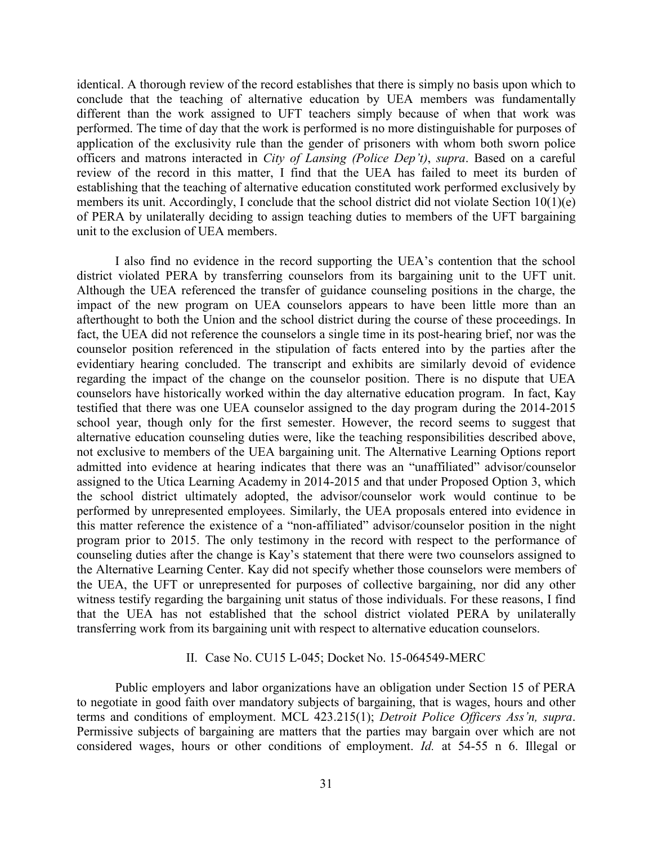identical. A thorough review of the record establishes that there is simply no basis upon which to conclude that the teaching of alternative education by UEA members was fundamentally different than the work assigned to UFT teachers simply because of when that work was performed. The time of day that the work is performed is no more distinguishable for purposes of application of the exclusivity rule than the gender of prisoners with whom both sworn police officers and matrons interacted in *City of Lansing (Police Dep't)*, *supra*. Based on a careful review of the record in this matter, I find that the UEA has failed to meet its burden of establishing that the teaching of alternative education constituted work performed exclusively by members its unit. Accordingly, I conclude that the school district did not violate Section 10(1)(e) of PERA by unilaterally deciding to assign teaching duties to members of the UFT bargaining unit to the exclusion of UEA members.

I also find no evidence in the record supporting the UEA's contention that the school district violated PERA by transferring counselors from its bargaining unit to the UFT unit. Although the UEA referenced the transfer of guidance counseling positions in the charge, the impact of the new program on UEA counselors appears to have been little more than an afterthought to both the Union and the school district during the course of these proceedings. In fact, the UEA did not reference the counselors a single time in its post-hearing brief, nor was the counselor position referenced in the stipulation of facts entered into by the parties after the evidentiary hearing concluded. The transcript and exhibits are similarly devoid of evidence regarding the impact of the change on the counselor position. There is no dispute that UEA counselors have historically worked within the day alternative education program. In fact, Kay testified that there was one UEA counselor assigned to the day program during the 2014-2015 school year, though only for the first semester. However, the record seems to suggest that alternative education counseling duties were, like the teaching responsibilities described above, not exclusive to members of the UEA bargaining unit. The Alternative Learning Options report admitted into evidence at hearing indicates that there was an "unaffiliated" advisor/counselor assigned to the Utica Learning Academy in 2014-2015 and that under Proposed Option 3, which the school district ultimately adopted, the advisor/counselor work would continue to be performed by unrepresented employees. Similarly, the UEA proposals entered into evidence in this matter reference the existence of a "non-affiliated" advisor/counselor position in the night program prior to 2015. The only testimony in the record with respect to the performance of counseling duties after the change is Kay's statement that there were two counselors assigned to the Alternative Learning Center. Kay did not specify whether those counselors were members of the UEA, the UFT or unrepresented for purposes of collective bargaining, nor did any other witness testify regarding the bargaining unit status of those individuals. For these reasons, I find that the UEA has not established that the school district violated PERA by unilaterally transferring work from its bargaining unit with respect to alternative education counselors.

#### II. Case No. CU15 L-045; Docket No. 15-064549-MERC

Public employers and labor organizations have an obligation under Section 15 of PERA to negotiate in good faith over mandatory subjects of bargaining, that is wages, hours and other terms and conditions of employment. MCL 423.215(1); *Detroit Police Officers Ass'n, supra*. Permissive subjects of bargaining are matters that the parties may bargain over which are not considered wages, hours or other conditions of employment. *Id.* at 54-55 n 6. Illegal or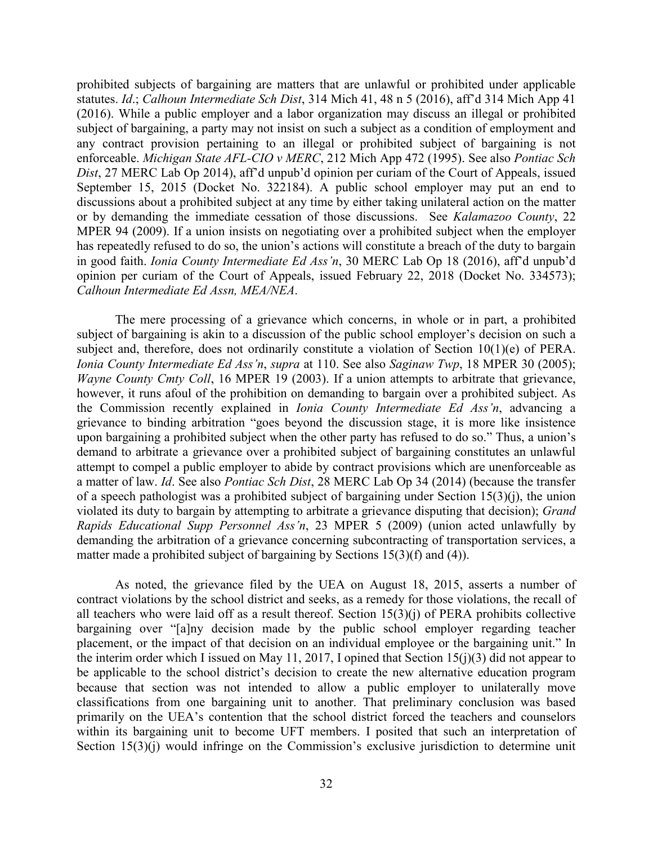prohibited subjects of bargaining are matters that are unlawful or prohibited under applicable statutes. *Id*.; *Calhoun Intermediate Sch Dist*, 314 Mich 41, 48 n 5 (2016), aff'd 314 Mich App 41 (2016). While a public employer and a labor organization may discuss an illegal or prohibited subject of bargaining, a party may not insist on such a subject as a condition of employment and any contract provision pertaining to an illegal or prohibited subject of bargaining is not enforceable. *Michigan State AFL-CIO v MERC*, 212 Mich App 472 (1995). See also *Pontiac Sch Dist*, 27 MERC Lab Op 2014), aff'd unpub'd opinion per curiam of the Court of Appeals, issued September 15, 2015 (Docket No. 322184). A public school employer may put an end to discussions about a prohibited subject at any time by either taking unilateral action on the matter or by demanding the immediate cessation of those discussions. See *Kalamazoo County*, 22 MPER 94 (2009). If a union insists on negotiating over a prohibited subject when the employer has repeatedly refused to do so, the union's actions will constitute a breach of the duty to bargain in good faith. *Ionia County Intermediate Ed Ass'n*, 30 MERC Lab Op 18 (2016), aff'd unpub'd opinion per curiam of the Court of Appeals, issued February 22, 2018 (Docket No. 334573); *Calhoun Intermediate Ed Assn, MEA/NEA*.

The mere processing of a grievance which concerns, in whole or in part, a prohibited subject of bargaining is akin to a discussion of the public school employer's decision on such a subject and, therefore, does not ordinarily constitute a violation of Section 10(1)(e) of PERA. *Ionia County Intermediate Ed Ass'n*, *supra* at 110. See also *Saginaw Twp*, 18 MPER 30 (2005); *Wayne County Cmty Coll*, 16 MPER 19 (2003). If a union attempts to arbitrate that grievance, however, it runs afoul of the prohibition on demanding to bargain over a prohibited subject. As the Commission recently explained in *Ionia County Intermediate Ed Ass'n*, advancing a grievance to binding arbitration "goes beyond the discussion stage, it is more like insistence upon bargaining a prohibited subject when the other party has refused to do so." Thus, a union's demand to arbitrate a grievance over a prohibited subject of bargaining constitutes an unlawful attempt to compel a public employer to abide by contract provisions which are unenforceable as a matter of law. *Id*. See also *Pontiac Sch Dist*, 28 MERC Lab Op 34 (2014) (because the transfer of a speech pathologist was a prohibited subject of bargaining under Section 15(3)(j), the union violated its duty to bargain by attempting to arbitrate a grievance disputing that decision); *Grand Rapids Educational Supp Personnel Ass'n*, 23 MPER 5 (2009) (union acted unlawfully by demanding the arbitration of a grievance concerning subcontracting of transportation services, a matter made a prohibited subject of bargaining by Sections 15(3)(f) and (4)).

As noted, the grievance filed by the UEA on August 18, 2015, asserts a number of contract violations by the school district and seeks, as a remedy for those violations, the recall of all teachers who were laid off as a result thereof. Section 15(3)(j) of PERA prohibits collective bargaining over "[a]ny decision made by the public school employer regarding teacher placement, or the impact of that decision on an individual employee or the bargaining unit." In the interim order which I issued on May 11, 2017, I opined that Section 15(j)(3) did not appear to be applicable to the school district's decision to create the new alternative education program because that section was not intended to allow a public employer to unilaterally move classifications from one bargaining unit to another. That preliminary conclusion was based primarily on the UEA's contention that the school district forced the teachers and counselors within its bargaining unit to become UFT members. I posited that such an interpretation of Section 15(3)(j) would infringe on the Commission's exclusive jurisdiction to determine unit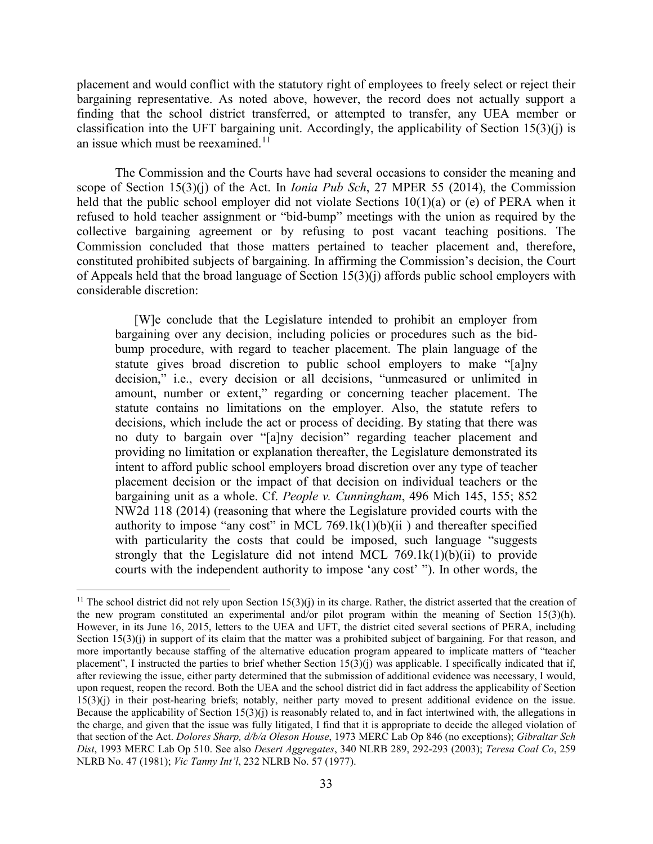placement and would conflict with the statutory right of employees to freely select or reject their bargaining representative. As noted above, however, the record does not actually support a finding that the school district transferred, or attempted to transfer, any UEA member or classification into the UFT bargaining unit. Accordingly, the applicability of Section 15(3)(j) is an issue which must be reexamined. $11$ 

The Commission and the Courts have had several occasions to consider the meaning and scope of Section 15(3)(j) of the Act. In *Ionia Pub Sch*, 27 MPER 55 (2014), the Commission held that the public school employer did not violate Sections 10(1)(a) or (e) of PERA when it refused to hold teacher assignment or "bid-bump" meetings with the union as required by the collective bargaining agreement or by refusing to post vacant teaching positions. The Commission concluded that those matters pertained to teacher placement and, therefore, constituted prohibited subjects of bargaining. In affirming the Commission's decision, the Court of Appeals held that the broad language of Section 15(3)(j) affords public school employers with considerable discretion:

[W]e conclude that the Legislature intended to prohibit an employer from bargaining over any decision, including policies or procedures such as the bidbump procedure, with regard to teacher placement. The plain language of the statute gives broad discretion to public school employers to make "[a]ny decision," i.e., every decision or all decisions, "unmeasured or unlimited in amount, number or extent," regarding or concerning teacher placement. The statute contains no limitations on the employer. Also, the statute refers to decisions, which include the act or process of deciding. By stating that there was no duty to bargain over "[a]ny decision" regarding teacher placement and providing no limitation or explanation thereafter, the Legislature demonstrated its intent to afford public school employers broad discretion over any type of teacher placement decision or the impact of that decision on individual teachers or the bargaining unit as a whole. Cf. *People v. Cunningham*, 496 Mich 145, 155; 852 NW2d 118 (2014) (reasoning that where the Legislature provided courts with the authority to impose "any cost" in MCL 769.1 $k(1)(b)(ii)$  and thereafter specified with particularity the costs that could be imposed, such language "suggests" strongly that the Legislature did not intend MCL  $769.1k(1)(b)(ii)$  to provide courts with the independent authority to impose 'any cost' "). In other words, the

<span id="page-32-0"></span><sup>&</sup>lt;sup>11</sup> The school district did not rely upon Section 15(3)(j) in its charge. Rather, the district asserted that the creation of the new program constituted an experimental and/or pilot program within the meaning of Section 15(3)(h). However, in its June 16, 2015, letters to the UEA and UFT, the district cited several sections of PERA, including Section 15(3)(j) in support of its claim that the matter was a prohibited subject of bargaining. For that reason, and more importantly because staffing of the alternative education program appeared to implicate matters of "teacher placement", I instructed the parties to brief whether Section 15(3)(j) was applicable. I specifically indicated that if, after reviewing the issue, either party determined that the submission of additional evidence was necessary, I would, upon request, reopen the record. Both the UEA and the school district did in fact address the applicability of Section 15(3)(j) in their post-hearing briefs; notably, neither party moved to present additional evidence on the issue. Because the applicability of Section  $15(3)(i)$  is reasonably related to, and in fact intertwined with, the allegations in the charge, and given that the issue was fully litigated, I find that it is appropriate to decide the alleged violation of that section of the Act. *Dolores Sharp, d/b/a Oleson House*, 1973 MERC Lab Op 846 (no exceptions); *Gibraltar Sch Dist*, 1993 MERC Lab Op 510. See also *Desert Aggregates*, 340 NLRB 289, 292-293 (2003); *Teresa Coal Co*, 259 NLRB No. 47 (1981); *Vic Tanny Int'l*, 232 NLRB No. 57 (1977).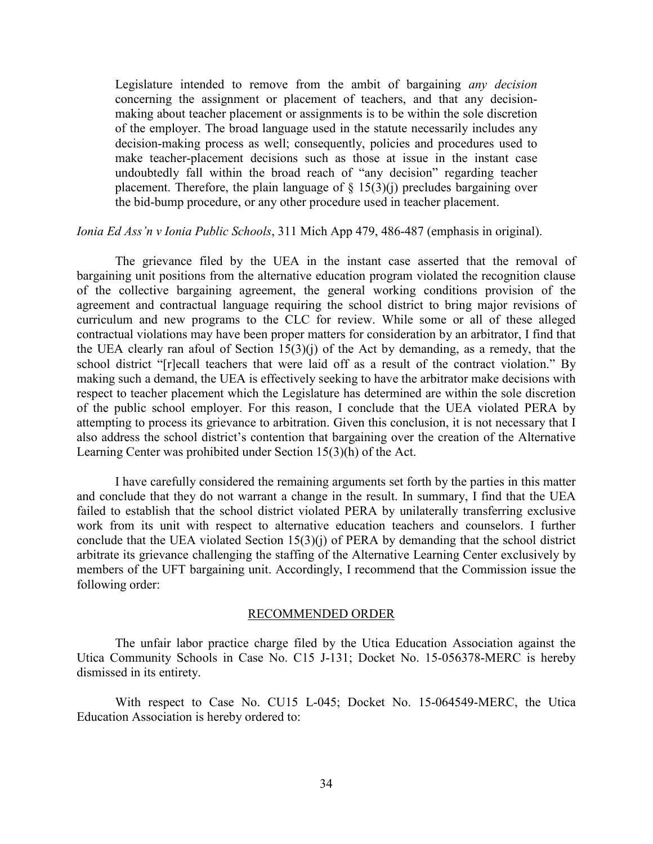Legislature intended to remove from the ambit of bargaining *any decision* concerning the assignment or placement of teachers, and that any decisionmaking about teacher placement or assignments is to be within the sole discretion of the employer. The broad language used in the statute necessarily includes any decision-making process as well; consequently, policies and procedures used to make teacher-placement decisions such as those at issue in the instant case undoubtedly fall within the broad reach of "any decision" regarding teacher placement. Therefore, the plain language of  $\S$  15(3)(j) precludes bargaining over the bid-bump procedure, or any other procedure used in teacher placement.

#### *Ionia Ed Ass'n v Ionia Public Schools*, 311 Mich App 479, 486-487 (emphasis in original).

The grievance filed by the UEA in the instant case asserted that the removal of bargaining unit positions from the alternative education program violated the recognition clause of the collective bargaining agreement, the general working conditions provision of the agreement and contractual language requiring the school district to bring major revisions of curriculum and new programs to the CLC for review. While some or all of these alleged contractual violations may have been proper matters for consideration by an arbitrator, I find that the UEA clearly ran afoul of Section 15(3)(j) of the Act by demanding, as a remedy, that the school district "[r]ecall teachers that were laid off as a result of the contract violation." By making such a demand, the UEA is effectively seeking to have the arbitrator make decisions with respect to teacher placement which the Legislature has determined are within the sole discretion of the public school employer. For this reason, I conclude that the UEA violated PERA by attempting to process its grievance to arbitration. Given this conclusion, it is not necessary that I also address the school district's contention that bargaining over the creation of the Alternative Learning Center was prohibited under Section 15(3)(h) of the Act.

I have carefully considered the remaining arguments set forth by the parties in this matter and conclude that they do not warrant a change in the result. In summary, I find that the UEA failed to establish that the school district violated PERA by unilaterally transferring exclusive work from its unit with respect to alternative education teachers and counselors. I further conclude that the UEA violated Section 15(3)(j) of PERA by demanding that the school district arbitrate its grievance challenging the staffing of the Alternative Learning Center exclusively by members of the UFT bargaining unit. Accordingly, I recommend that the Commission issue the following order:

#### RECOMMENDED ORDER

The unfair labor practice charge filed by the Utica Education Association against the Utica Community Schools in Case No. C15 J-131; Docket No. 15-056378-MERC is hereby dismissed in its entirety.

With respect to Case No. CU15 L-045; Docket No. 15-064549-MERC, the Utica Education Association is hereby ordered to: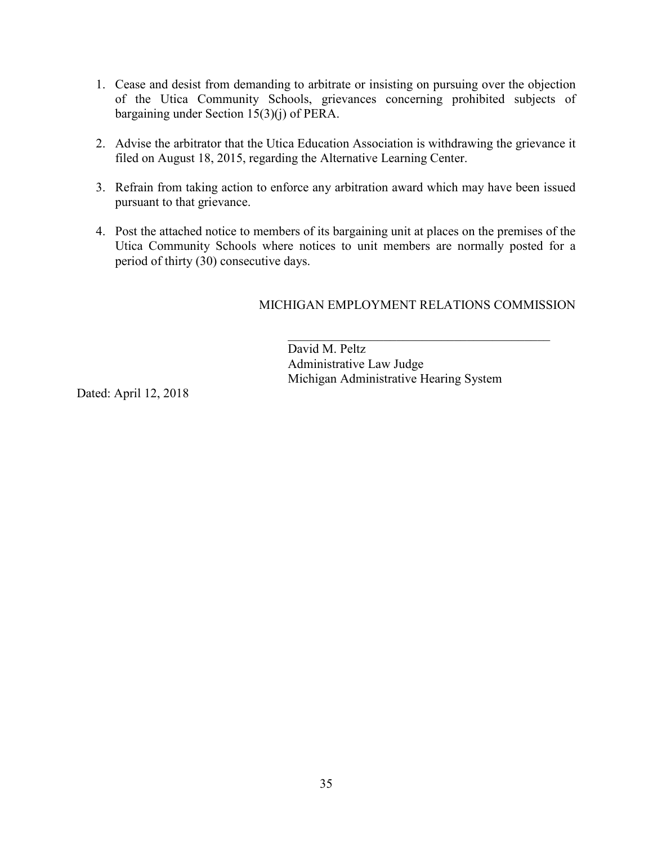- 1. Cease and desist from demanding to arbitrate or insisting on pursuing over the objection of the Utica Community Schools, grievances concerning prohibited subjects of bargaining under Section 15(3)(j) of PERA.
- 2. Advise the arbitrator that the Utica Education Association is withdrawing the grievance it filed on August 18, 2015, regarding the Alternative Learning Center.
- 3. Refrain from taking action to enforce any arbitration award which may have been issued pursuant to that grievance.
- 4. Post the attached notice to members of its bargaining unit at places on the premises of the Utica Community Schools where notices to unit members are normally posted for a period of thirty (30) consecutive days.

# MICHIGAN EMPLOYMENT RELATIONS COMMISSION

David M. Peltz Administrative Law Judge Michigan Administrative Hearing System

Dated: April 12, 2018